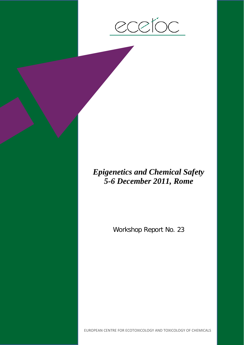

# *Epigenetics and Chemical Safety 5-6 December 2011, Rome*

Workshop Report No. 23

EUROPEAN CENTRE FOR ECOTOXICOLOGY AND TOXICOLOGY OF CHEMICALS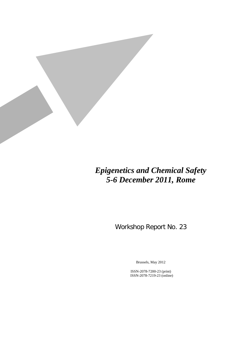

# *Epigenetics and Chemical Safety 5-6 December 2011, Rome*

Workshop Report No. 23

Brussels, May 2012

ISSN-2078-7200-23 (print) ISSN-2078-7219-23 (online)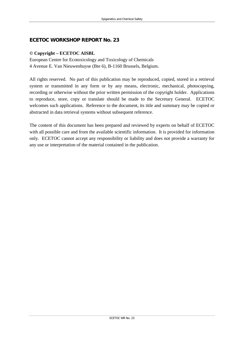# **ECETOC WORKSHOP REPORT No. 23**

# **© Copyright – ECETOC AISBL**

European Centre for Ecotoxicology and Toxicology of Chemicals 4 Avenue E. Van Nieuwenhuyse (Bte 6), B-1160 Brussels, Belgium.

All rights reserved. No part of this publication may be reproduced, copied, stored in a retrieval system or transmitted in any form or by any means, electronic, mechanical, photocopying, recording or otherwise without the prior written permission of the copyright holder. Applications to reproduce, store, copy or translate should be made to the Secretary General. ECETOC welcomes such applications. Reference to the document, its title and summary may be copied or abstracted in data retrieval systems without subsequent reference.

The content of this document has been prepared and reviewed by experts on behalf of ECETOC with all possible care and from the available scientific information. It is provided for information only. ECETOC cannot accept any responsibility or liability and does not provide a warranty for any use or interpretation of the material contained in the publication.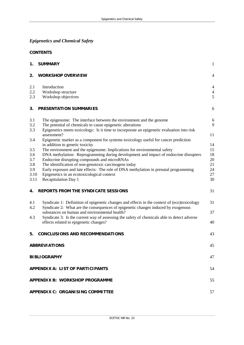# *Epigenetics and Chemical Safety*

|  | <b>CONTENTS</b> |
|--|-----------------|
|  |                 |

| 1.                                            | <b>SUMMARY</b>                                                                                                                                                                                                                  | $\mathbf{1}$                     |  |
|-----------------------------------------------|---------------------------------------------------------------------------------------------------------------------------------------------------------------------------------------------------------------------------------|----------------------------------|--|
| 2.                                            | <b>WORKSHOP OVERVIEW</b>                                                                                                                                                                                                        | $\overline{4}$                   |  |
| 2.1<br>2.2                                    | Introduction<br>Workshop structure                                                                                                                                                                                              | $\overline{4}$<br>$\overline{4}$ |  |
| 2.3                                           | Workshop objectives                                                                                                                                                                                                             | 5                                |  |
| 3.                                            | <b>PRESENTATION SUMMARIES</b>                                                                                                                                                                                                   | 6                                |  |
| 3.1<br>3.2<br>3.3                             | The epigenome: The interface between the environment and the genome<br>The potential of chemicals to cause epigenetic alterations<br>Epigenetics meets toxicology: Is it time to incorporate an epigenetic evaluation into risk | 6<br>9                           |  |
| 3.4                                           | assessment?<br>Epigenetic marker as a component for systems toxicology useful for cancer prediction<br>in addition to genetic toxicity                                                                                          | 11<br>14                         |  |
| 3.5<br>3.6<br>3.7                             | The environment and the epigenome: Implications for environmental safety<br>DNA methylation: Reprogramming during development and impact of endocrine disrupters<br>Endocrine disrupting compounds and microRNAs                | 15<br>18<br>20                   |  |
| 3.8<br>3.9<br>3.10<br>3.11                    | The identification of non-genotoxic carcinogens today<br>Early exposure and late effects: The role of DNA methylation in prenatal programming<br>Epigenetics in an ecotoxicological context<br>Recapitulation Day 1             | 21<br>24<br>27<br>30             |  |
| 4.                                            | <b>REPORTS FROM THE SYNDICATE SESSIONS</b>                                                                                                                                                                                      | 31                               |  |
| 4.1<br>4.2                                    | Syndicate 1: Definition of epigenetic changes and effects in the context of (eco)toxicology<br>Syndicate 2: What are the consequences of epigenetic changes induced by exogenous                                                | 31                               |  |
| 4.3                                           | substances on human and environmental health?<br>Syndicate 3: Is the current way of assessing the safety of chemicals able to detect adverse<br>effects related to epigenetic changes?                                          | 37<br>40                         |  |
| 5.                                            | <b>CONCLUSIONS AND RECOMMENDATIONS</b>                                                                                                                                                                                          | 43                               |  |
|                                               | <b>ABBREVIATIONS</b>                                                                                                                                                                                                            | 45                               |  |
|                                               | <b>BIBLIOGRAPHY</b>                                                                                                                                                                                                             | 47                               |  |
|                                               | <b>APPENDIX A: LIST OF PARTICIPANTS</b><br>54                                                                                                                                                                                   |                                  |  |
| <b>APPENDIX B: WORKSHOP PROGRAMME</b><br>55   |                                                                                                                                                                                                                                 |                                  |  |
| <b>APPENDIX C: ORGANISING COMMITTEE</b><br>57 |                                                                                                                                                                                                                                 |                                  |  |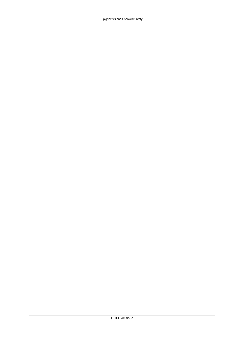Epigenetics and Chemical Safety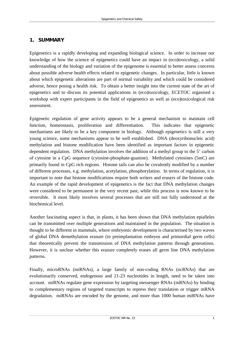# <span id="page-6-0"></span>**1. SUMMARY**

Epigenetics is a rapidly developing and expanding biological science. In order to increase our knowledge of how the science of epigenetics could have an impact in (eco)toxicology, a solid understanding of the biology and variation of the epigenome is essential to better assess concerns about possible adverse health effects related to epigenetic changes. In particular, little is known about which epigenetic alterations are part of normal variability and which could be considered adverse, hence posing a health risk. To obtain a better insight into the current state of the art of epigenetics and to discuss its potential applications in (eco)toxicology, ECETOC organised a workshop with expert participants in the field of epigenetics as well as (eco)toxicological risk assessment.

Epigenetic regulation of gene activity appears to be a general mechanism to maintain cell function, homeostasis, proliferation and differentiation. This indicates that epigenetic mechanisms are likely to be a key component in biology. Although epigenetics is still a very young science, some mechanisms appear to be well established. DNA (deoxyribonucleic acid) methylation and histone modification have been identified as important factors in epigenetic dependent regulation. DNA methylation involves the addition of a methyl group to the 5' carbon of cytosine in a CpG sequence (cytosine-phosphate-guanine). Methylated cytosines (5mC) are primarily found in CpG rich regions. Histone tails can also be covalently modified by a number of different processes, e.g. methylation, acetylation, phosphorylation. In terms of regulation, it is important to note that histone modifications require both writers and erasers of the histone code. An example of the rapid development of epigenetics is the fact that DNA methylation changes were considered to be permanent in the very recent past, while this process is now known to be reversible. It most likely involves several processes that are still not fully understood at the biochemical level.

Another fascinating aspect is that, in plants, it has been shown that DNA methylation epialleles can be transmitted over multiple generations and maintained in the population. The situation is thought to be different in mammals, where embryonic development is characterised by two waves of global DNA demethylation erasure (in preimplantation embryos and primordial germ cells) that theoretically prevent the transmission of DNA methylation patterns through generations. However, it is unclear whether this erasure completely erases all germ line DNA methylation patterns.

Finally, microRNAs (miRNAs), a large family of non-coding RNAs (ncRNAs) that are evolutionarily conserved, endogenous and 21-23 nucleotides in length, need to be taken into account. miRNAs regulate gene expression by targeting messenger RNAs (mRNAs) by binding to complementary regions of targeted transcripts to repress their translation or trigger mRNA degradation. miRNAs are encoded by the genome, and more than 1000 human miRNAs have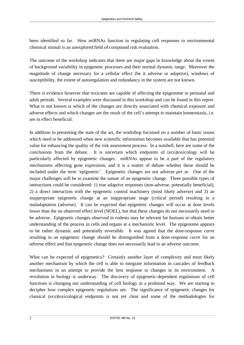been identified so far. How miRNAs function in regulating cell responses to environmental chemical stimuli is an unexplored field of compound risk evaluation.

The outcome of the workshop indicates that there are major gaps in knowledge about the extent of background variability in epigenetic processes and their normal dynamic range. Moreover the magnitude of change necessary for a cellular effect (be it adverse or adaptive), windows of susceptibility, the extent of autoregulation and redundancy in the system are not known.

There is evidence however that toxicants are capable of affecting the epigenome in perinatal and adult periods. Several examples were discussed in this workshop and can be found in this report. What is not known is which of the changes are directly associated with chemical exposure and adverse effects and which changes are the result of the cell's attempt to maintain homeostasis, i.e. are in effect beneficial.

In addition to presenting the state of the art, the workshop focussed on a number of basic issues which need to be addressed when new scientific information becomes available that has potential value for enhancing the quality of the risk assessment process. In a nutshell, here are some of the conclusions from the debate. It is uncertain which endpoints of (eco)toxicology will be particularly affected by epigenetic changes. miRNAs appear to be a part of the regulatory mechanisms affecting gene expression, and it is a matter of debate whether these should be included under the term 'epigenetic'. Epigenetic changes are not adverse *per se*. One of the major challenges will be to examine the nature of an epigenetic change. Three possible types of interactions could be considered: 1) true adaptive responses (non-adverse, potentially beneficial), 2) a direct interaction with the epigenetic control machinery (most likely adverse) and 3) an inappropriate epigenetic change at an inappropriate stage (critical period) resulting in a maladaptation (adverse). It can be expected that epigenetic changes will occur at dose levels lower than the no observed effect level (NOEL), but that these changes do not necessarily need to be adverse. Epigenetic changes observed in rodents may be relevant for humans to obtain better understanding of the process in cells and organs at a mechanistic level. The epigenome appears to be rather dynamic and potentially reversible. It was agreed that the dose-response curve resulting in an epigenetic change should be distinguished from a dose-response curve for an adverse effect and that epigenetic change does not necessarily lead to an adverse outcome.

What can be expected of epigenetics? Certainly another layer of complexity and most likely another mechanism by which the cell is able to integrate information in cascades of feedback mechanisms in an attempt to provide the best response to changes in its environment. A revolution in biology is underway. The discovery of epigenetic-dependent regulations of cell functions is changing our understanding of cell biology in a profound way. We are starting to decipher how complex epigenetic regulations are. The significance of epigenetic changes for classical (eco)toxicological endpoints is not yet clear and some of the methodologies for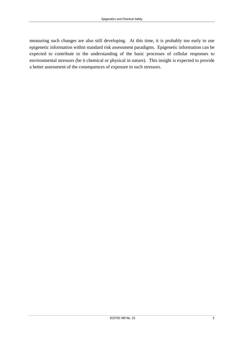measuring such changes are also still developing. At this time, it is probably too early to use epigenetic information within standard risk assessment paradigms. Epigenetic information can be expected to contribute to the understanding of the basic processes of cellular responses to environmental stressors (be it chemical or physical in nature). This insight is expected to provide a better assessment of the consequences of exposure to such stressors.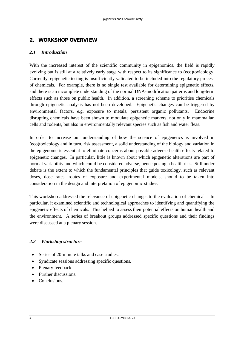# <span id="page-9-0"></span>**2. WORKSHOP OVERVIEW**

### <span id="page-9-1"></span>*2.1 Introduction*

With the increased interest of the scientific community in epigenomics, the field is rapidly evolving but is still at a relatively early stage with respect to its significance to (eco)toxicology. Currently, epigenetic testing is insufficiently validated to be included into the regulatory process of chemicals. For example, there is no single test available for determining epigenetic effects, and there is an incomplete understanding of the normal DNA-modification patterns and long-term effects such as those on public health. In addition, a screening scheme to prioritise chemicals through epigenetic analysis has not been developed. Epigenetic changes can be triggered by environmental factors, e.g. exposure to metals, persistent organic pollutants. Endocrine disrupting chemicals have been shown to modulate epigenetic markers, not only in mammalian cells and rodents, but also in environmentally relevant species such as fish and water fleas.

In order to increase our understanding of how the science of epigenetics is involved in (eco)toxicology and in turn, risk assessment, a solid understanding of the biology and variation in the epigenome is essential to eliminate concerns about possible adverse health effects related to epigenetic changes. In particular, little is known about which epigenetic alterations are part of normal variability and which could be considered adverse, hence posing a health risk. Still under debate is the extent to which the fundamental principles that guide toxicology, such as relevant doses, dose rates, routes of exposure and experimental models, should to be taken into consideration in the design and interpretation of epigenomic studies.

This workshop addressed the relevance of epigenetic changes to the evaluation of chemicals. In particular, it examined scientific and technological approaches to identifying and quantifying the epigenetic effects of chemicals. This helped to assess their potential effects on human health and the environment. A series of breakout groups addressed specific questions and their findings were discussed at a plenary session.

# <span id="page-9-2"></span>*2.2 Workshop structure*

- Series of 20-minute talks and case studies.
- Syndicate sessions addressing specific questions.
- Plenary feedback.
- Further discussions.
- Conclusions.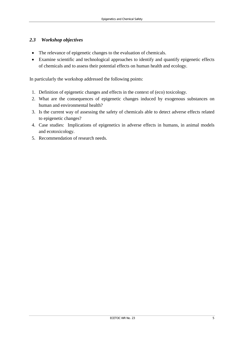# <span id="page-10-0"></span>*2.3 Workshop objectives*

- The relevance of epigenetic changes to the evaluation of chemicals.
- Examine scientific and technological approaches to identify and quantify epigenetic effects of chemicals and to assess their potential effects on human health and ecology.

In particularly the workshop addressed the following points:

- 1. Definition of epigenetic changes and effects in the context of (eco) toxicology.
- 2. What are the consequences of epigenetic changes induced by exogenous substances on human and environmental health?
- 3. Is the current way of assessing the safety of chemicals able to detect adverse effects related to epigenetic changes?
- 4. Case studies: Implications of epigenetics in adverse effects in humans, in animal models and ecotoxicology.
- 5. Recommendation of research needs.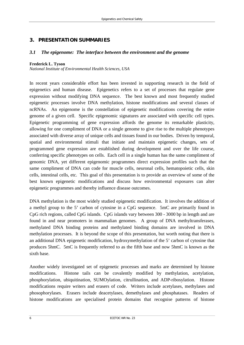# <span id="page-11-0"></span>**3. PRESENTATION SUMMARIES**

### <span id="page-11-1"></span>*3.1 The epigenome: The interface between the environment and the genome*

#### **Frederick L. Tyson**

*National Institute of Environmental Health Sciences, USA*

In recent years considerable effort has been invested in supporting research in the field of epigenetics and human disease. Epigenetics refers to a set of processes that regulate gene expression without modifying DNA sequence. The best known and most frequently studied epigenetic processes involve DNA methylation, histone modifications and several classes of ncRNAs. An epigenome is the constellation of epigenetic modifications covering the entire genome of a given cell. Specific epigenomic signatures are associated with specific cell types. Epigenetic programming of gene expression affords the genome its remarkable plasticity, allowing for one compliment of DNA or a single genome to give rise to the multiple phenotypes associated with diverse array of unique cells and tissues found in our bodies. Driven by temporal, spatial and environmental stimuli that initiate and maintain epigenetic changes, sets of programmed gene expression are established during development and over the life course, conferring specific phenotypes on cells. Each cell in a single human has the same compliment of genomic DNA, yet different epigenomic programmes direct expression profiles such that the same compliment of DNA can code for muscle cells, neuronal cells, hematopoietic cells, skin cells, intestinal cells, etc. This goal of this presentation is to provide an overview of some of the best known epigenetic modifications and discuss how environmental exposures can alter epigenetic programmes and thereby influence disease outcomes.

DNA methylation is the most widely studied epigenetic modification. It involves the addition of a methyl group to the 5' carbon of cytosine in a CpG sequence. 5mC are primarily found in CpG rich regions, called CpG islands. CpG islands vary between 300 - 3000 bp in length and are found in and near promoters in mammalian genomes. A group of DNA methyltransferases, methylated DNA binding proteins and methylated binding domains are involved in DNA methylation processes. It is beyond the scope of this presentation, but worth noting that there is an additional DNA epigenetic modification, hydroxymethylation of the 5' carbon of cytosine that produces 5hmC. 5mC is frequently referred to as the fifth base and now 5hmC is known as the sixth base.

Another widely investigated set of epigenetic processes and marks are determined by histone modifications. Histone tails can be covalently modified by methylation, acetylation, phosphorylation, ubiquitination, SUMOylation, citrullination, and ADP-ribosylation. Histone modifications require writers and erasers of code. Writers include acetylases, methylases and phosophorylases. Erasers include deacetylases, demethylases and phosphatases. Readers of histone modifications are specialised protein domains that recognise patterns of histone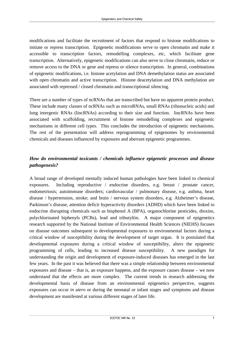modifications and facilitate the recruitment of factors that respond to histone modifications to initiate or repress transcription. Epigenetic modifications serve to open chromatin and make it accessible to transcription factors, remodelling complexes, etc, which facilitate gene transcription. Alternatively, epigenetic modifications can also serve to close chromatin, reduce or remove access to the DNA or gene and repress or silence transcription. In general, combinations of epigenetic modifications, i.e. histone acetylation and DNA demethylation status are associated with open chromatin and active transcription. Histone deacetylation and DNA methylation are associated with repressed / closed chromatin and transcriptional silencing.

There are a number of types of ncRNAs that are transcribed but have no apparent protein product. These include many classes of ncRNAs such as microRNAs, small RNAs (ribonucleic acids) and long intergenic RNAs (lincRNAs) according to their size and function. lincRNAs have been associated with scaffolding, recruitment of histone remodelling complexes and epigenetic mechanisms in different cell types. This concludes the introduction of epigenetic mechanisms. The rest of the presentation will address reprogramming of epigenomes by environmental chemicals and diseases influenced by exposures and aberrant epigenetic programmes.

# *How do environmental toxicants / chemicals influence epigenetic processes and disease pathogenesis?*

A broad range of developed mentally induced human pathologies have been linked to chemical exposures. Including reproductive / endocrine disorders, e.g. breast / prostate cancer, endometriosis; autoimmune disorders; cardiovascular / pulmonary disease, e.g. asthma, heart disease / hypertension, stroke; and brain / nervous system disorders, e.g. Alzheimer's disease, Parkinson's disease, attention deficit hyperactivity disorders (ADHD) which have been linked to endocrine disrupting chemicals such as bisphenol A (BPA), organochlorine pesticides, dioxins, polychlorinated biphenyls (PCBs), lead and tributyltin. A major component of epigenetics research supported by the National Institute of Environmental Health Sciences (NIEHS) focuses on disease outcomes subsequent to developmental exposures to environmental factors during a critical window of susceptibility during the development of target organ. It is postulated that developmental exposures during a critical window of susceptibility, alters the epigenetic programming of cells, leading to increased disease susceptibility. A new paradigm for understanding the origin and development of exposure-induced diseases has emerged in the last few years. In the past it was believed that there was a simple relationship between environmental exposures and disease – that is, an exposure happens, and the exposure causes disease – we now understand that the effects are more complex. The current trends in research addressing the developmental basis of disease from an environmental epigenetics perspective, suggests exposures can occur *in utero* or during the neonatal or infant stages and symptoms and disease development are manifested at various different stages of later life.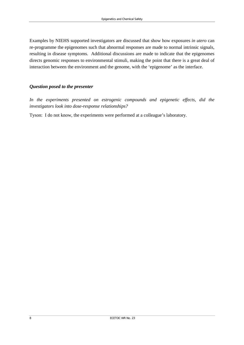Examples by NIEHS supported investigators are discussed that show how exposures *in utero* can re-programme the epigenomes such that abnormal responses are made to normal intrinsic signals, resulting in disease symptoms. Additional discussions are made to indicate that the epigenomes directs genomic responses to environmental stimuli, making the point that there is a great deal of interaction between the environment and the genome, with the 'epigenome' as the interface.

### *Question posed to the presenter*

*In the experiments presented on estrogenic compounds and epigenetic effects, did the investigators look into dose-response relationships?* 

Tyson: I do not know, the experiments were performed at a colleague's laboratory.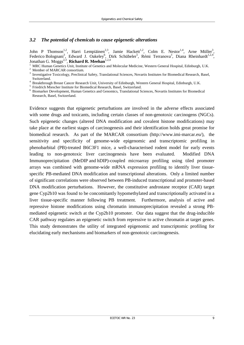### <span id="page-14-0"></span>*3.2 The potential of chemicals to cause epigenetic alterations*

John P Thomson<sup>1,2</sup>, Harri Lempiäinen<sup>2,3</sup>, Jamie Hackett<sup>1,2</sup>, Colm E. Nestor<sup>1,4</sup>, Arne Müller<sup>3</sup>, Federico Bolognani<sup>3</sup>, Edward J. Oakeley<sup>6</sup>, Dirk Schübeler<sup>5</sup>, Rémi Terranova<sup>3</sup>, Diana Rheinhardt<sup>1,2,4</sup>, Jonathan G. Moggs<sup>2,3</sup>, **Richard R. Meehan**<sup>1,2,4</sup>

<sup>4</sup> Breakthrough Breast Cancer Research Unit, University of Edinburgh, Western General Hospital, Edinburgh, U.K.<br><sup>5</sup> Friedrich Miescher Institute for Biomedical Research, Basel, Switzerland.<br><sup>6</sup> Biomarker Development, Huma Research, Basel, Switzerland.

Evidence suggests that epigenetic perturbations are involved in the adverse effects associated with some drugs and toxicants, including certain classes of non-genotoxic carcinogens (NGCs). Such epigenetic changes (altered DNA modification and covalent histone modifications) may take place at the earliest stages of carcinogenesis and their identification holds great promise for biomedical research. As part of the MARCAR consortium [\(http://www.imi-marcar.eu/\)](http://www.imi-marcar.eu/), the sensitivity and specificity of genome-wide epigenomic and transcriptomic profiling in phenobarbital (PB)-treated B6C3F1 mice, a well-characterised rodent model for early events leading to non-genotoxic liver carcinogenesis have been evaluated. Modified DNA Immunoprecipitation (MeDIP and hDIP)-coupled microarray profiling using tiled promoter arrays was combined with genome-wide mRNA expression profiling to identify liver tissuespecific PB-mediated DNA modification and transcriptional alterations. Only a limited number of significant correlations were observed between PB-induced transcriptional and promoter-based DNA modification perturbations. However, the constitutive androstane receptor (CAR) target gene Cyp2b10 was found to be concomitantly hypomethylated and transcriptionally activated in a liver tissue-specific manner following PB treatment. Furthermore, analysis of active and repressive histone modifications using chromatin immunoprecipitation revealed a strong PBmediated epigenetic switch at the Cyp2b10 promoter. Our data suggest that the drug-inducible CAR pathway regulates an epigenetic switch from repressive to active chromatin at target genes. This study demonstrates the utility of integrated epigenomic and transcriptomic profiling for elucidating early mechanisms and biomarkers of non-genotoxic carcinogenesis.

<sup>&</sup>lt;sup>1</sup> MRC Human Genetics Unit, Institute of Genetics and Molecular Medicine, Western General Hospital, Edinburgh, U.K.<br>
<sup>2</sup> Member of MARCAR consortium.<br>
<sup>3</sup> Investigative Toxicology, Preclinical Safety, Translational Scien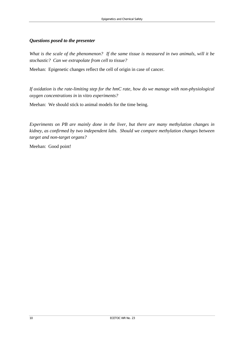### *Questions posed to the presenter*

*What is the scale of the phenomenon? If the same tissue is measured in two animals, will it be stochastic? Can we extrapolate from cell to tissue?* 

Meehan: Epigenetic changes reflect the cell of origin in case of cancer.

*If oxidation is the rate-limiting step for the hmC rate, how do we manage with non-physiological oxygen concentrations in* in vitro *experiments?* 

Meehan: We should stick to animal models for the time being.

*Experiments on PB are mainly done in the liver, but there are many methylation changes in kidney, as confirmed by two independent labs. Should we compare methylation changes between target and non-target organs?* 

Meehan: Good point!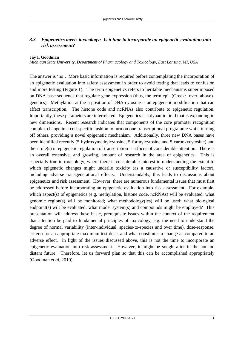# <span id="page-16-0"></span>*3.3 Epigenetics meets toxicology: Is it time to incorporate an epigenetic evaluation into risk assessment?*

#### **Jay I. Goodman**

*Michigan State University, Department of Pharmacology and Toxicology, East Lansing, MI, USA*

The answer is 'no'. More basic information is required before contemplating the incorporation of an epigenetic evaluation into safety assessment in order to avoid testing that leads to confusion and more testing (Figure 1). The term epigenetics refers to heritable mechanisms superimposed on DNA base sequence that regulate gene expression (thus, the term epi- (Greek: over, above) genetics). Methylation at the 5 position of DNA-cytosine is an epigenetic modification that can affect transcription. The histone code and ncRNAs also contribute to epigenetic regulation. Importantly, these parameters are interrelated. Epigenetics is a dynamic field that is expanding in new dimensions. Recent research indicates that components of the core promoter recognition complex change in a cell-specific fashion to turn on one transcriptional programme while turning off others, providing a novel epigenetic mechanism. Additionally, three new DNA bases have been identified recently (5-hydroxymethylcytosine, 5-formylcytosine and 5-carboxycytosine) and their role(s) in epigenetic regulation of transcription is a focus of considerable attention. There is an overall extensive, and growing, amount of research in the area of epigenetics. This is especially true in toxicology, where there is considerable interest in understanding the extent to which epigenetic changes might underlie toxicity (as a causative or susceptibility factor), including adverse transgenerational effects. Understandably, this leads to discussions about epigenetics and risk assessment. However, there are numerous fundamental issues that must first be addressed before incorporating an epigenetic evaluation into risk assessment. For example, which aspect(s) of epigenetics (e.g. methylation, histone code, ncRNAs) will be evaluated; what genomic region(s) will be monitored; what methodology(ies) will be used; what biological endpoint(s) will be evaluated; what model system(s) and compounds might be employed? This presentation will address these basic, prerequisite issues within the context of the requirement that attention be paid to fundamental principles of toxicology, e.g. the need to understand the degree of normal variability (inter-individual, species-to-species and over time), dose-response, criteria for an appropriate maximum test dose, and what constitutes a change as compared to an adverse effect. In light of the issues discussed above, this is not the time to incorporate an epigenetic evaluation into risk assessment. However, it might be sought-after in the not too distant future. Therefore, let us forward plan so that this can be accomplished appropriately (Goodman *et al*, 2010).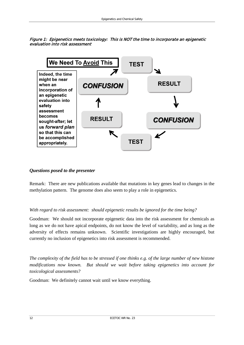



# *Questions posed to the presenter*

Remark: There are new publications available that mutations in key genes lead to changes in the methylation pattern. The genome does also seem to play a role in epigenetics.

# *With regard to risk assessment: should epigenetic results be ignored for the time being?*

Goodman: We should not incorporate epigenetic data into the risk assessment for chemicals as long as we do not have apical endpoints, do not know the level of variability, and as long as the adversity of effects remains unknown. Scientific investigations are highly encouraged, but currently no inclusion of epigenetics into risk assessment is recommended.

*The complexity of the field has to be stressed if one thinks e.g. of the large number of new histone modifications now known. But should we wait before taking epigenetics into account for toxicological assessments?* 

Goodman: We definitely cannot wait until we know everything.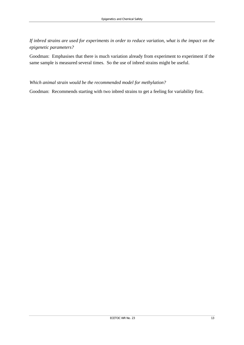# *If inbred strains are used for experiments in order to reduce variation, what is the impact on the epigenetic parameters?*

Goodman: Emphasises that there is much variation already from experiment to experiment if the same sample is measured several times. So the use of inbred strains might be useful.

### *Which animal strain would be the recommended model for methylation?*

Goodman: Recommends starting with two inbred strains to get a feeling for variability first.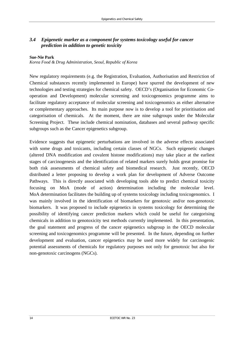# <span id="page-19-0"></span>*3.4 Epigenetic marker as a component for systems toxicology useful for cancer prediction in addition to genetic toxicity*

#### **Sue-Nie Park**

*Korea Food & Drug Administration, Seoul, Republic of Korea*

New regulatory requirements (e.g. the Registration, Evaluation, Authorisation and Restriction of Chemical substances recently implemented in Europe) have spurred the development of new technologies and testing strategies for chemical safety. OECD's (Organisation for Economic Cooperation and Development) molecular screening and toxicogenomics programme aims to facilitate regulatory acceptance of molecular screening and toxicogenomics as either alternative or complementary approaches. Its main purpose now is to develop a tool for prioritisation and categorisation of chemicals. At the moment, there are nine subgroups under the Molecular Screening Project. These include chemical nomination, databases and several pathway specific subgroups such as the Cancer epigenetics subgroup.

Evidence suggests that epigenetic perturbations are involved in the adverse effects associated with some drugs and toxicants, including certain classes of NGCs. Such epigenetic changes (altered DNA modification and covalent histone modifications) may take place at the earliest stages of carcinogenesis and the identification of related markers surely holds great promise for both risk assessments of chemical safety and biomedical research. Just recently, OECD distributed a letter proposing to develop a work plan for development of Adverse Outcome Pathways. This is directly associated with developing tools able to predict chemical toxicity focusing on MoA (mode of action) determination including the molecular level. MoA determination facilitates the building up of systems toxicology including toxicogenomics. I was mainly involved in the identification of biomarkers for genotoxic and/or non-genotoxic biomarkers. It was proposed to include epigenetics in systems toxicology for determining the possibility of identifying cancer prediction markers which could be useful for categorising chemicals in addition to genotoxicity test methods currently implemented. In this presentation, the goal statement and progress of the cancer epigenetics subgroup in the OECD molecular screening and toxicogenomics programme will be presented. In the future, depending on further development and evaluation, cancer epigenetics may be used more widely for carcinogenic potential assessments of chemicals for regulatory purposes not only for genotoxic but also for non-genotoxic carcinogens (NGCs).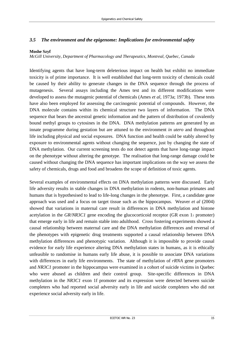# <span id="page-20-0"></span>*3.5 The environment and the epigenome: Implications for environmental safety*

#### **Moshe Szyf**

*McGill University, Department of Pharmacology and Therapeutics, Montreal, Quebec, Canada*

Identifying agents that have long-term deleterious impact on health but exhibit no immediate toxicity is of prime importance. It is well established that long-term toxicity of chemicals could be caused by their ability to generate changes in the DNA sequence through the process of mutagenesis. Several assays including the Ames test and its different modifications were developed to assess the mutagenic potential of chemicals (Ames *et al*, 1973a; 1973b). These tests have also been employed for assessing the carcinogenic potential of compounds. However, the DNA molecule contains within its chemical structure two layers of information. The DNA sequence that bears the ancestral genetic information and the pattern of distribution of covalently bound methyl groups to cytosines in the DNA. DNA methylation patterns are generated by an innate programme during gestation but are attuned to the environment *in utero* and throughout life including physical and social exposures. DNA function and health could be stably altered by exposure to environmental agents without changing the sequence, just by changing the state of DNA methylation. Our current screening tests do not detect agents that have long-range impact on the phenotype without altering the genotype. The realisation that long-range damage could be caused without changing the DNA sequence has important implications on the way we assess the safety of chemicals, drugs and food and broadens the scope of definition of toxic agents.

Several examples of environmental effects on DNA methylation patterns were discussed. Early life adversity results in stable changes in DNA methylation in rodents, non-human primates and humans that is hypothesised to lead to life-long changes in the phenotype. First, a candidate gene approach was used and a focus on target tissue such as the hippocampus. Weaver *et al* (2004) showed that variations in maternal care result in differences in DNA methylation and histone acetylation in the *GR*/*NR3C1* gene encoding the glucocorticoid receptor (GR exon  $1<sub>7</sub>$  promoter) that emerge early in life and remain stable into adulthood. Cross fostering experiments showed a causal relationship between maternal care and the DNA methylation differences and reversal of the phenotypes with epigenetic drug treatments supported a causal relationship between DNA methylation differences and phenotypic variation. Although it is impossible to provide causal evidence for early life experience altering DNA methylation states in humans, as it is ethically unfeasible to randomise in humans early life abuse, it is possible to associate DNA variations with differences in early life environments. The state of methylation of *rRNA* gene promoters and *NR3C1* promoter in the hippocampus were examined in a cohort of suicide victims in Quebec who were abused as children and their control group. Site-specific differences in DNA methylation in the *NR3C1* exon 1f promoter and its expression were detected between suicide completers who had reported social adversity early in life and suicide completers who did not experience social adversity early in life.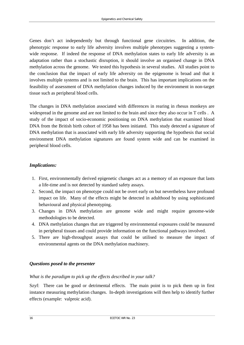Genes don't act independently but through functional gene circuitries. In addition, the phenotypic response to early life adversity involves multiple phenotypes suggesting a systemwide response. If indeed the response of DNA methylation states to early life adversity is an adaptation rather than a stochastic disruption, it should involve an organised change in DNA methylation across the genome. We tested this hypothesis in several studies. All studies point to the conclusion that the impact of early life adversity on the epigenome is broad and that it involves multiple systems and is not limited to the brain. This has important implications on the feasibility of assessment of DNA methylation changes induced by the environment in non-target tissue such as peripheral blood cells.

The changes in DNA methylation associated with differences in rearing in rhesus monkeys are widespread in the genome and are not limited to the brain and since they also occur in T cells . A study of the impact of socio-economic positioning on DNA methylation that examined blood DNA from the British birth cohort of 1958 has been initiated. This study detected a signature of DNA methylation that is associated with early life adversity supporting the hypothesis that social environment DNA methylation signatures are found system wide and can be examined in peripheral blood cells.

# *Implications:*

- 1. First, environmentally derived epigenetic changes act as a memory of an exposure that lasts a life-time and is not detected by standard safety assays.
- 2. Second, the impact on phenotype could not be overt early on but nevertheless have profound impact on life. Many of the effects might be detected in adulthood by using sophisticated behavioural and physical phenotyping.
- 3. Changes in DNA methylation are genome wide and might require genome-wide methodologies to be detected.
- 4. DNA methylation changes that are triggered by environmental exposures could be measured in peripheral tissues and could provide information on the functional pathways involved.
- 5. There are high-throughput assays that could be utilised to measure the impact of environmental agents on the DNA methylation machinery.

# *Questions posed to the presenter*

# *What is the paradigm to pick up the effects described in your talk?*

Szyf: There can be good or detrimental effects. The main point is to pick them up in first instance measuring methylation changes. In-depth investigations will then help to identify further effects (example: valproic acid).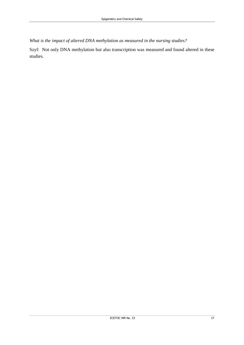*What is the impact of altered DNA methylation as measured in the nursing studies?* 

Szyf: Not only DNA methylation but also transcription was measured and found altered in these studies.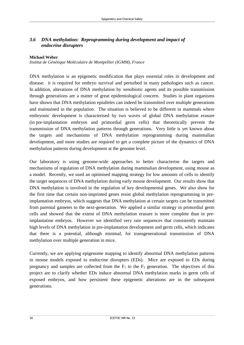# <span id="page-23-0"></span>*3.6 DNA methylation: Reprogramming during development and impact of endocrine disrupters*

#### **Michael Weber**

*Institut de Génétique Moléculaire de Montpellier (IGMM), France*

DNA methylation is an epigenetic modification that plays essential roles in development and disease: it is required for embryo survival and perturbed in many pathologies such as cancer. In addition, alterations of DNA methylation by xenobiotic agents and its possible transmission through generations are a matter of great epidemiological concern. Studies in plant organisms have shown that DNA methylation epialleles can indeed be transmitted over multiple generations and maintained in the population. The situation is believed to be different in mammals where embryonic development is characterised by two waves of global DNA methylation erasure (in pre-implantation embryos and primordial germ cells) that theoretically prevent the transmission of DNA methylation patterns through generations. Very little is yet known about the targets and mechanisms of DNA methylation reprogramming during mammalian development, and more studies are required to get a complete picture of the dynamics of DNA methylation patterns during development at the genome level.

Our laboratory is using genome-wide approaches to better characterise the targets and mechanisms of regulation of DNA methylation during mammalian development, using mouse as a model. Recently, we used an optimised mapping strategy for low amounts of cells to identify the target sequences of DNA methylation during early mouse development. Our results show that DNA methylation is involved in the regulation of key developmental genes. We also show for the first time that certain non-imprinted genes resist global methylation reprogramming in preimplantation embryos, which suggests that DNA methylation at certain targets can be transmitted from parental gametes to the next-generation. We applied a similar strategy in primordial germ cells and showed that the extent of DNA methylation erasure is more complete than in preimplantation embryos. However we identified very rare sequences that consistently maintain high levels of DNA methylation in pre-implantation development and germ cells, which indicates that there is a potential, although minimal, for transgenerational transmission of DNA methylation over multiple generation in mice.

Currently, we are applying epigenome mapping to identify abnormal DNA methylation patterns in mouse models exposed to endocrine disrupters (EDs). Mice are exposed to EDs during pregnancy and samples are collected from the  $F_1$  to the  $F_3$  generation. The objectives of this project are to clarify whether EDs induce abnormal DNA methylation marks in germ cells of exposed embryos, and how persistent these epigenetic alterations are in the subsequent generations.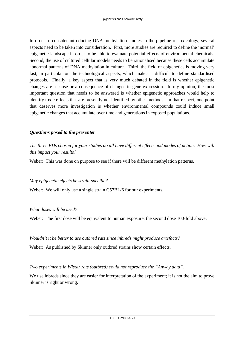In order to consider introducing DNA methylation studies in the pipeline of toxicology, several aspects need to be taken into consideration. First, more studies are required to define the 'normal' epigenetic landscape in order to be able to evaluate potential effects of environmental chemicals. Second, the use of cultured cellular models needs to be rationalised because these cells accumulate abnormal patterns of DNA methylation in culture. Third, the field of epigenetics is moving very fast, in particular on the technological aspects, which makes it difficult to define standardised protocols. Finally, a key aspect that is very much debated in the field is whether epigenetic changes are a cause or a consequence of changes in gene expression. In my opinion, the most important question that needs to be answered is whether epigenetic approaches would help to identify toxic effects that are presently not identified by other methods. In that respect, one point that deserves more investigation is whether environmental compounds could induce small epigenetic changes that accumulate over time and generations in exposed populations.

### *Questions posed to the presenter*

*The three EDs chosen for your studies do all have different effects and modes of action. How will this impact your results?* 

Weber: This was done on purpose to see if there will be different methylation patterns.

### *May epigenetic effects be strain-specific?*

Weber: We will only use a single strain C57BL/6 for our experiments.

### *What doses will be used?*

Weber: The first dose will be equivalent to human exposure, the second dose 100-fold above.

### *Wouldn't it be better to use outbred rats since inbreds might produce artefacts?*

Weber: As published by Skinner only outbred strains show certain effects.

*Two experiments in Wistar rats (outbred) could not reproduce the "Anway data".* 

We use inbreds since they are easier for interpretation of the experiment; it is not the aim to prove Skinner is right or wrong.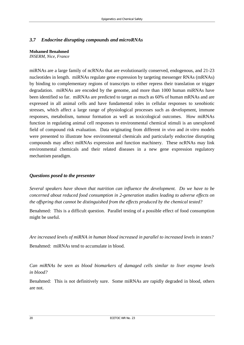# <span id="page-25-0"></span>*3.7 Endocrine disrupting compounds and microRNAs*

#### **Mohamed Benahmed**

*INSERM, Nice, France*

miRNAs are a large family of ncRNAs that are evolutionarily conserved, endogenous, and 21-23 nucleotides in length. miRNAs regulate gene expression by targeting messenger RNAs (mRNAs) by binding to complementary regions of transcripts to either repress their translation or trigger degradation. miRNAs are encoded by the genome, and more than 1000 human miRNAs have been identified so far. miRNAs are predicted to target as much as 60% of human mRNAs and are expressed in all animal cells and have fundamental roles in cellular responses to xenobiotic stresses, which affect a large range of physiological processes such as development, immune responses, metabolism, tumour formation as well as toxicological outcomes. How miRNAs function in regulating animal cell responses to environmental chemical stimuli is an unexplored field of compound risk evaluation. Data originating from different *in vivo* and *in vitro* models were presented to illustrate how environmental chemicals and particularly endocrine disrupting compounds may affect miRNAs expression and function machinery. These ncRNAs may link environmental chemicals and their related diseases in a new gene expression regulatory mechanism paradigm.

# *Questions posed to the presenter*

*Several speakers have shown that nutrition can influence the development. Do we have to be concerned about reduced food consumption in 2-generation studies leading to adverse effects on the offspring that cannot be distinguished from the effects produced by the chemical tested?* 

Benahmed: This is a difficult question. Parallel testing of a possible effect of food consumption might be useful.

*Are increased levels of miRNA in human blood increased in parallel to increased levels in testes?*  Benahmed: miRNAs tend to accumulate in blood.

*Can miRNAs be seen as blood biomarkers of damaged cells similar to liver enzyme levels in blood?* 

Benahmed: This is not definitively sure. Some miRNAs are rapidly degraded in blood, others are not.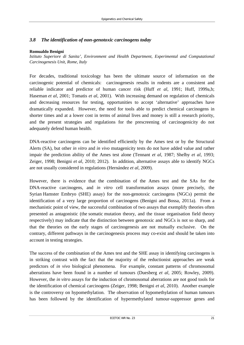### <span id="page-26-0"></span>*3.8 The identification of non-genotoxic carcinogens today*

#### **Romualdo Benigni**

*Istituto Superiore di Sanita', Environment and Health Department, Experimental and Computational Carcinogenesis Unit, Rome, Italy*

For decades, traditional toxicology has been the ultimate source of information on the carcinogenic potential of chemicals: carcinogenesis results in rodents are a consistent and reliable indicator and predictor of human cancer risk (Huff *et al*, 1991; Huff, 1999a,b; Haseman *et al*, 2001; Tomatis *et al*, 2001). With increasing demand on regulation of chemicals and decreasing resources for testing, opportunities to accept 'alternative' approaches have dramatically expanded. However, the need for tools able to predict chemical carcinogens in shorter times and at a lower cost in terms of animal lives and money is still a research priority, and the present strategies and regulations for the prescreening of carcinogenicity do not adequately defend human health.

DNA-reactive carcinogens can be identified efficiently by the Ames test or by the Structural Alerts (SA), but other *in vitro* and *in vivo* mutagenicity tests do not have added value and rather impair the prediction ability of the Ames test alone (Tennant *et al*, 1987; Shelby *et al*, 1993; Zeiger, 1998; Benigni *et al*, 2010; 2012). In addition, alternative assays able to identify NGCs are not usually considered in regulations (Hernández *et al*, 2009).

However, there is evidence that the combination of the Ames test and the SAs for the DNA-reactive carcinogens, and *in vitro* cell transformation assays (more precisely, the Syrian Hamster Embryo (SHE) assay) for the non-genotoxic carcinogens (NGCs) permit the identification of a very large proportion of carcinogens (Benigni and Bossa, 2011a). From a mechanistic point of view, the successful combination of two assays that exemplify theories often presented as antagonistic (the somatic mutation theory, and the tissue organisation field theory respectively) may indicate that the distinction between genotoxic and NGCs is not so sharp, and that the theories on the early stages of carcinogenesis are not mutually exclusive. On the contrary, different pathways in the carcinogenesis process may co-exist and should be taken into account in testing strategies.

The success of the combination of the Ames test and the SHE assay in identifying carcinogens is in striking contrast with the fact that the majority of the reductionist approaches are weak predictors of *in vivo* biological phenomena. For example, constant patterns of chromosomal aberrations have been found in a number of tumours (Duesberg *et al*, 2005; Rowley, 2009). However, the *in vitro* assays for the induction of chromosomal aberrations are not good tools for the identification of chemical carcinogens (Zeiger, 1998; Benigni *et al*, 2010). Another example is the controversy on hypomethylation. The observation of hypomethylation of human tumours has been followed by the identification of hypermethylated tumour-suppressor genes and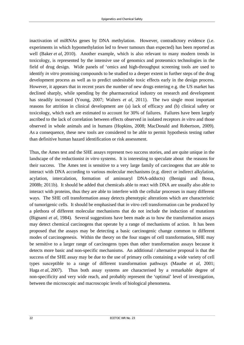inactivation of miRNAs genes by DNA methylation. However, contradictory evidence (i.e. experiments in which hypomethylation led to fewer tumours than expected) has been reported as well (Baker *et al*, 2010). Another example, which is also relevant to many modern trends in toxicology, is represented by the intensive use of genomics and proteomics technologies in the field of drug design. Wide panels of 'omics and high-throughput screening tools are used to identify *in vitro* promising compounds to be studied to a deeper extent in further steps of the drug development process as well as to predict undesirable toxic effects early in the design process. However, it appears that in recent years the number of new drugs entering e.g. the US market has declined sharply, while spending by the pharmaceutical industry on research and development has steadily increased (Young, 2007; Walters *et al*, 2011). The two single most important reasons for attrition in clinical development are (a) lack of efficacy and (b) clinical safety or toxicology, which each are estimated to account for 30% of failures. Failures have been largely ascribed to the lack of correlation between effects observed in isolated receptors *in vitro* and those observed in whole animals and in humans (Hopkins, 2008; MacDonald and Robertson, 2009). As a consequence, these new tools are considered to be able to permit hypothesis testing rather than definitive human hazard identification or risk assessment.

Thus, the Ames test and the SHE assays represent two success stories, and are quite unique in the landscape of the reductionist *in vitro* systems. It is interesting to speculate about the reasons for their success. The Ames test is sensitive to a very large family of carcinogens that are able to interact with DNA according to various molecular mechanisms (e.g. direct or indirect alkylation, acylation, intercalation, formation of aminoaryl DNA-adducts) (Benigni and Bossa, 2008b; 2011b). It should be added that chemicals able to react with DNA are usually also able to interact with proteins, thus they are able to interfere with the cellular processes in many different ways. The SHE cell transformation assay detects phenotypic alterations which are characteristic of tumorigenic cells. It should be emphasised that *in vitro* cell transformation can be produced by a plethora of different molecular mechanisms that do not include the induction of mutations (Bignami *et al*, 1984). Several suggestions have been made as to how the transformation assays may detect chemical carcinogens that operate by a range of mechanisms of action. It has been proposed that the assays may be detecting a basic carcinogenic change common to different modes of carcinogenesis. Within the theory on the four stages of cell transformation, SHE may be sensitive to a larger range of carcinogens types than other transformation assays because it detects more basic and non-specific mechanisms. An additional / alternative proposal is that the success of the SHE assay may be due to the use of primary cells containing a wide variety of cell types susceptible to a range of different transformation pathways (Mauthe *et al*, 2001; Haga *et al*, 2007). Thus both assay systems are characterised by a remarkable degree of non-specificity and very wide reach, and probably represent the 'optimal' level of investigation, between the microscopic and macroscopic levels of biological phenomena.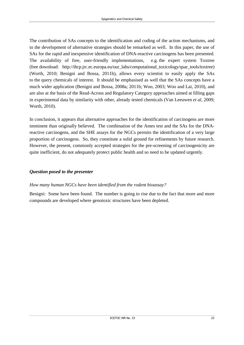The contribution of SAs concepts to the identification and coding of the action mechanisms, and to the development of alternative strategies should be remarked as well. In this paper, the use of SAs for the rapid and inexpensive identification of DNA-reactive carcinogens has been presented. The availability of free, user-friendly implementations, e.g. the expert system Toxtree (free download: [http://ihcp.jrc.ec.europa.eu/our\\_labs/computational\\_toxicology/qsar\\_tools/toxtree\)](http://ihcp.jrc.ec.europa.eu/our_labs/computational_toxicology/qsar_tools/toxtree) (Worth, 2010; Benigni and Bossa, 2011b), allows every scientist to easily apply the SAs to the query chemicals of interest. It should be emphasised as well that the SAs concepts have a much wider application (Benigni and Bossa, 2008a; 2011b; Woo, 2003; Woo and Lai, 2010), and are also at the basis of the Read-Across and Regulatory Category approaches aimed at filling gaps in experimental data by similarity with other, already tested chemicals (Van Leeuwen *et al*, 2009; Worth, 2010).

In conclusion, it appears that alternative approaches for the identification of carcinogens are more imminent than originally believed. The combination of the Ames test and the SAs for the DNAreactive carcinogens, and the SHE assays for the NGCs permits the identification of a very large proportion of carcinogens. So, they constitute a solid ground for refinements by future research. However, the present, commonly accepted strategies for the pre-screening of carcinogenicity are quite inefficient, do not adequately protect public health and so need to be updated urgently.

### *Question posed to the presenter*

### *How many human NGCs have been identified from the rodent bioassay?*

Benigni: Some have been found. The number is going to rise due to the fact that more and more compounds are developed where genotoxic structures have been depleted.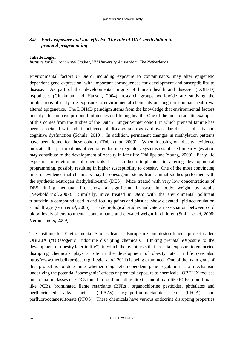# <span id="page-29-0"></span>*3.9 Early exposure and late effects: The role of DNA methylation in prenatal programming*

### **Juliette Legler**

*Institute for Environmental Studies, VU University Amsterdam, The Netherlands*

Environmental factors *in utero*, including exposure to contaminants, may alter epigenetic dependent gene expression, with important consequences for development and susceptibility to disease. As part of the 'developmental origins of human health and disease' (DOHaD) hypothesis (Gluckman and Hanson, 2004), research groups worldwide are studying the implications of early life exposure to environmental chemicals on long-term human health via altered epigenetics. The DOHaD paradigm stems from the knowledge that environmental factors in early life can have profound influences on lifelong health. One of the most dramatic examples of this comes from the studies of the Dutch Hunger Winter cohort, in which prenatal famine has been associated with adult incidence of diseases such as cardiovascular disease, obesity and cognitive dysfunction (Schulz, 2010). In addition, permanent changes in methylation patterns have been found for these cohorts (Tobi *et al*, 2009). When focusing on obesity, evidence indicates that perturbations of central endocrine regulatory systems established in early gestation may contribute to the development of obesity in later life (Phillips and Young, 2000). Early life exposure to environmental chemicals has also been implicated in altering developmental programming, possibly resulting in higher susceptibility to obesity. One of the most convincing lines of evidence that chemicals may be obesogenic stems from animal studies performed with the synthetic oestrogen diethylstilbestrol (DES). Mice treated with very low concentrations of DES during neonatal life show a significant increase in body weight as adults (Newbold *et al*, 2007). Similarly, mice treated *in utero* with the environmental pollutant tributyltin, a compound used in anti-fouling paints and plastics, show elevated lipid accumulation at adult age (Grün *et al*, 2006). Epidemiological studies indicate an association between cord blood levels of environmental contaminants and elevated weight in children (Smink *et al*, 2008; Verhulst *et al*, 2009).

The Institute for Environmental Studies leads a European Commission-funded project called OBELIX ("OBesogenic Endocrine disrupting chemicals: LInking prenatal eXposure to the development of obesity later in life"), in which the hypothesis that prenatal exposure to endocrine disrupting chemicals plays a role in the development of obesity later in life (see also http:/[/www.theobelixproject.org;](http://www.theobelixproject.org/) Legler *et al*, 2011) is being examined. One of the main goals of this project is to determine whether epigenetic-dependent gene regulation is a mechanism underlying the potential 'obesogenic' effects of prenatal exposure to chemicals. OBELIX focuses on six major classes of EDCs found in food including dioxins and dioxin-like PCBs, non-dioxinlike PCBs, brominated flame retardants (BFRs), organochlorine pesticides, phthalates and perfluorinated alkyl acids (PFAAs), e.g. perfluorooctanoic acid (PFOA) and perfluorooctanesulfonate (PFOS). These chemicals have various endocrine disrupting properties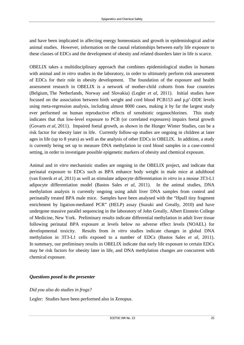and have been implicated in affecting energy homeostasis and growth in epidemiological and/or animal studies. However, information on the causal relationships between early life exposure to these classes of EDCs and the development of obesity and related disorders later in life is scarce.

OBELIX takes a multidisciplinary approach that combines epidemiological studies in humans with animal and *in vitro* studies in the laboratory, in order to ultimately perform risk assessment of EDCs for their role in obesity development. The foundation of the exposure and health assessment research in OBELIX is a network of mother-child cohorts from four countries (Belgium, The Netherlands, Norway and Slovakia) (Legler *et al*, 2011). Initial studies have focused on the association between birth weight and cord blood PCB153 and p,p'-DDE levels using meta-regression analysis, including almost 8000 cases, making it by far the largest study ever performed on human reproductive effects of xenobiotic organochlorines. This study indicates that that low-level exposure to PCB (or correlated exposures) impairs foetal growth (Govarts *et al*, 2011). Impaired foetal growth, as shown in the Hunger Winter Studies, can be a risk factor for obesity later in life. Currently follow-up studies are ongoing in children at later ages in life (up to 8 years) as well as the analysis of other EDCs in OBELIX. In addition, a study is currently being set up to measure DNA methylation in cord blood samples in a case-control setting, in order to investigate possible epigenetic markers of obesity and chemical exposure.

Animal and *in vitro* mechanistic studies are ongoing in the OBELIX project, and indicate that perinatal exposure to EDCs such as BPA enhance body weight in male mice at adulthood (van Esterik *et al*, 2011) as well as stimulate adipocyte differentiation *in vitro* in a mouse 3T3-L1 adipocyte differentiation model (Bastos Sales *et al*, 2011). In the animal studies, DNA methylation analysis is currently ongoing using adult liver DNA samples from control and perinatally treated BPA male mice. Samples have been analysed with the "HpaII tiny fragment enrichment by ligation-mediated PCR" (HELP) assay (Suzuki and Greally, 2010) and have undergone massive parallel sequencing in the laboratory of John Greally, Albert Einstein College of Medicine, New York. Preliminary results indicate differential methylation in adult liver tissue following perinatal BPA exposure at levels below no adverse effect levels (NOAEL) for developmental toxicity. Results from *in vitro* studies indicate changes in global DNA methylation in 3T3-L1 cells exposed to a number of EDCs (Bastos Sales *et al*, 2011). In summary, our preliminary results in OBELIX indicate that early life exposure to certain EDCs may be risk factors for obesity later in life, and DNA methylation changes are concurrent with chemical exposure.

# *Questions posed to the presenter*

*Did you also do studies in frogs?* 

Legler: Studies have been performed also in *Xenopus*.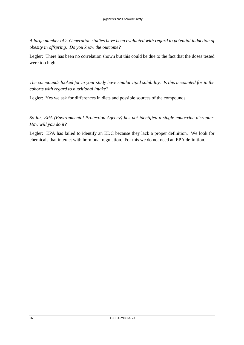*A large number of 2-Generation studies have been evaluated with regard to potential induction of obesity in offspring. Do you know the outcome?* 

Legler: There has been no correlation shown but this could be due to the fact that the doses tested were too high.

*The compounds looked for in your study have similar lipid solubility. Is this accounted for in the cohorts with regard to nutritional intake?* 

Legler: Yes we ask for differences in diets and possible sources of the compounds.

*So far, EPA (Environmental Protection Agency) has not identified a single endocrine disrupter. How will you do it?* 

Legler: EPA has failed to identify an EDC because they lack a proper definition. We look for chemicals that interact with hormonal regulation. For this we do not need an EPA definition.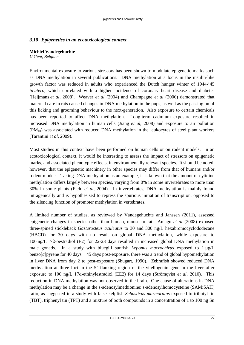### <span id="page-32-0"></span>*3.10 Epigenetics in an ecotoxicological context*

#### **Michiel Vandegehuchte**

*U Gent, Belgium*

Environmental exposure to various stressors has been shown to modulate epigenetic marks such as DNA methylation in several publications. DNA methylation at a locus in the insulin-like growth factor was reduced in adults who experienced the Dutch hunger winter of 1944-'45 *in utero*, which correlated with a higher incidence of coronary heart disease and diabetes (Heijmans *et al*, 2008). Weaver *et al* (2004) and Champagne *et al* (2006) demonstrated that maternal care in rats caused changes in DNA methylation in the pups, as well as the passing on of this licking and grooming behaviour to the next-generation. Also exposure to certain chemicals has been reported to affect DNA methylation. Long-term cadmium exposure resulted in increased DNA methylation in human cells (Jiang *et al*, 2008) and exposure to air pollution  $(PM_{10})$  was associated with reduced DNA methylation in the leukocytes of steel plant workers (Tarantini *et al*, 2009).

Most studies in this context have been performed on human cells or on rodent models. In an ecotoxicological context, it would be interesting to assess the impact of stressors on epigenetic marks, and associated phenotypic effects, in environmentally relevant species. It should be noted, however, that the epigenetic machinery in other species may differ from that of humans and/or rodent models. Taking DNA methylation as an example, it is known that the amount of cytidine methylation differs largely between species, varying from 0% in some invertebrates to more than 30% in some plants (Field *et al*, 2004). In invertebrates, DNA methylation is mainly found intragenically and is hypothesised to repress the spurious initiation of transcription, opposed to the silencing function of promoter methylation in vertebrates.

A limited number of studies, as reviewed by Vandegehuchte and Janssen (2011), assessed epigenetic changes in species other than human, mouse or rat. Aniagu *et al* (2008) exposed three-spined stickleback *Gasterosteus aculeatus* to 30 and 300 ng/L hexabromocyclododecane (HBCD) for 30 days with no result on global DNA methylation, while exposure to 100 ng/L 17ß-oestradiol (E2) for 22-23 days resulted in increased global DNA methylation in male gonads. In a study with bluegill sunfish *Lepomis macrochirus* exposed to 1 µg/L benzo $[a]$ pyrene for 40 days + 45 days post-exposure, there was a trend of global hypomethylation in liver DNA from day 2 to post-exposure (Shugart, 1990). Zebrafish showed reduced DNA methylation at three loci in the 5' flanking region of the vitellogenin gene in the liver after exposure to 100 ng/L 17α-ethinylestradiol (EE2) for 14 days (Strömqvist *et al*, 2010). This reduction in DNA methylation was not observed in the brain. One cause of alterations in DNA methylation may be a change in the s-adenosylmethionine: s-adenosylhomocysteine (SAM:SAH) ratio, as suggested in a study with false kelpfish *Sebasticus marmoratus* exposed to tributyl tin (TBT), triphenyl tin (TPT) and a mixture of both compounds in a concentration of 1 to 100 ng Sn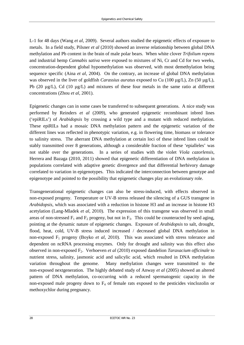L-1 for 48 days (Wang *et al*, 2009). Several authors studied the epigenetic effects of exposure to metals. In a field study, Pilsner *et al* (2010) showed an inverse relationship between global DNA methylation and Pb content in the brain of male polar bears. When white clover *Trifolium repens* and industrial hemp *Cannabis sativa* were exposed to mixtures of Ni, Cr and Cd for two weeks, concentration-dependent global hypomethylation was observed, with most demethylation being sequence specific (Aina *et al*, 2004). On the contrary, an increase of global DNA methylation was observed in the liver of goldfish *Carassius auratus* exposed to Cu (100 µg/L), Zn (50 µg/L), Pb (20 µg/L), Cd (10 µg/L) and mixtures of these four metals in the same ratio at different concentrations (Zhou *et al*, 2001).

Epigenetic changes can in some cases be transferred to subsequent generations. A nice study was performed by Reinders *et al* (2009), who generated epigenetic recombinant inbred lines ('epiRILs') of *Arabidopsis* by crossing a wild type and a mutant with reduced methylation. These epiRILs had a mosaic DNA methylation pattern and the epigenetic variation of the different lines was reflected in phenotypic variation, e.g. in flowering time, biomass or tolerance to salinity stress. The aberrant DNA methylation at certain loci of these inbred lines could be stably transmitted over 8 generations, although a considerable fraction of these 'epialleles' was not stable over the generations. In a series of studies with the violet *Viola cazorlensis*, Herrera and Bazaga (2010, 2011) showed that epigenetic differentiation of DNA methylation in populations correlated with adaptive genetic divergence and that differential herbivory damage correlated to variation in epigenotypes. This indicated the interconnection between genotype and epigenotype and pointed to the possibility that epigenetic changes play an evolutionary role.

Transgenerational epigenetic changes can also be stress-induced, with effects observed in non-exposed progeny. Temperature or UV-B stress released the silencing of a GUS transgene in *Arabidopsis,* which was associated with a reduction in histone H3 and an increase in histone H3 acetylation (Lang-Mladek *et al*, 2010). The expression of this transgene was observed in small areas of non-stressed  $F_1$  and  $F_2$  progeny, but not in  $F_3$ . This could be counteracted by seed aging, pointing at the dynamic nature of epigenetic changes. Exposure of *Arabidopsis* to salt, drought, flood, heat, cold, UV-B stress induced increased / decreased global DNA methylation in non-exposed F1 progeny (Boyko *et al*, 2010). This was associated with stress tolerance and dependent on ncRNA processing enzymes. Only for drought and salinity was this effect also observed in non-exposed F2. Verhoeven *et al* (2010) exposed dandelion *Taraxacium officinale* to nutrient stress, salinity, jasmonic acid and salicylic acid, which resulted in DNA methylation variation throughout the genome. Many methylation changes were transmitted to the non-exposed nextgeneration. The highly debated study of Anway *et al* (2005) showed an altered pattern of DNA methylation, co-occurring with a reduced spermatogenic capacity in the non-exposed male progeny down to  $F_4$  of female rats exposed to the pesticides vinclozolin or methoxychlor during pregnancy.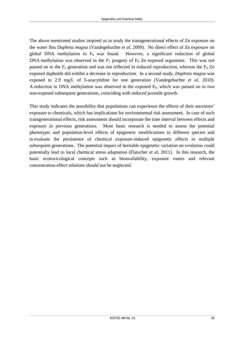The above mentioned studies inspired us to study the transgenerational effects of Zn exposure on the water flea *Daphnia magna* (Vandegehuchte *et al*, 2009). No direct effect of Zn exposure on global DNA methylation in  $F_0$  was found. However, a significant reduction of global DNA methylation was observed in the  $F_1$  progeny of  $F_0$  Zn exposed organisms. This was not passed on to the  $F_2$  generation and was not reflected in reduced reproduction, whereas the  $F_0$  Zn exposed daphnids did exhibit a decrease in reproduction. In a second study, *Daphnia magna* was exposed to 2.9 mg/L of 5-azacytidine for one generation (Vandegehuchte *et al*, 2010). A reduction in DNA methylation was observed in the exposed  $F_0$ , which was passed on to two non-exposed subsequent generations, coinciding with reduced juvenile growth.

This study indicates the possibility that populations can experience the effects of their ancestors' exposure to chemicals, which has implications for environmental risk assessment. In case of such transgenerational effects, risk assessment should incorporate the time interval between effects and exposure in previous generations. More basic research is needed to assess the potential phenotypic and population-level effects of epigenetic modifications in different species and to evaluate the persistence of chemical exposure-induced epigenetic effects in multiple subsequent generations. The potential impact of heritable epigenetic variation on evolution could potentially lead to local chemical stress adaptation (Flatscher *et al*, 2011). In this research, the basic ecotoxicological concepts such as bioavailability, exposure routes and relevant concentration-effect relations should not be neglected.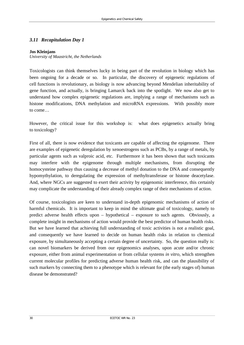### <span id="page-35-0"></span>*3.11 Recapitulation Day 1*

#### **Jos Kleinjans**

*University of Maastricht, the Netherlands*

Toxicologists can think themselves lucky in being part of the revolution in biology which has been ongoing for a decade or so. In particular, the discovery of epigenetic regulations of cell functions is revolutionary, as biology is now advancing beyond Mendelian inheritability of gene function, and actually, is bringing Lamarck back into the spotlight. We now also get to understand how complex epigenetic regulations are, implying a range of mechanisms such as histone modifications, DNA methylation and microRNA expressions. With possibly more to come…

However, the critical issue for this workshop is: what does epigenetics actually bring to toxicology?

First of all, there is now evidence that toxicants are capable of affecting the epigenome. There are examples of epigenetic deregulation by xenoestrogens such as PCBs, by a range of metals, by particular agents such as valproic acid, etc. Furthermore it has been shown that such toxicants may interfere with the epigenome through multiple mechanisms, from disrupting the homocysteine pathway thus causing a decrease of methyl donation to the DNA and consequently hypomythylation, to deregulating the expression of methyltransferase or histone deacetylase. And, where NGCs are suggested to exert their activity by epigenomic interference, this certainly may complicate the understanding of their already complex range of their mechanisms of action.

Of course, toxicologists are keen to understand in-depth epigenomic mechanisms of action of harmful chemicals. It is important to keep in mind the ultimate goal of toxicology, namely to predict adverse health effects upon – hypothetical – exposure to such agents. Obviously, a complete insight in mechanisms of action would provide the best predictor of human health risks. But we have learned that achieving full understanding of toxic activities is not a realistic goal, and consequently we have learned to decide on human health risks in relation to chemical exposure, by simultaneously accepting a certain degree of uncertainty. So, the question really is: can novel biomarkers be derived from our epigenomics analyses, upon acute and/or chronic exposure, either from animal experimentation or from cellular systems *in vitro,* which strengthen current molecular profiles for predicting adverse human health risk, and can the plausibility of such markers by connecting them to a phenotype which is relevant for (the early stages of) human disease be demonstrated?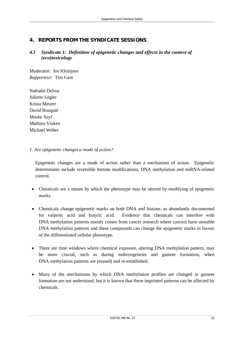# <span id="page-36-0"></span>**4. REPORTS FROM THE SYNDICATE SESSIONS**

# <span id="page-36-1"></span>*4.1 Syndicate 1: Definition of epigenetic changes and effects in the context of (eco)toxicology*

Moderator: Jos Kleinjans *Rapporteur*: Tim Gant

Nathalie Delrue Juliette Legler Krista Meurer David Rouquié Moshe Szyf Mathieu Vinken Michael Weber

# *1. Are epigenetic changes a mode of action?*

Epigenetic changes are a mode of action rather than a mechanism of action. Epigenetic determinants include reversible histone modifications, DNA methylation and miRNA-related control.

- Chemicals are a means by which the phenotype may be altered by modifying of epigenetic marks.
- Chemicals change epigenetic marks on both DNA and histone, as abundantly documented for valproic acid and butyric acid. Evidence that chemicals can interfere with DNA methylation patterns mainly comes from cancer research where cancers have unstable DNA methylation patterns and these compounds can change the epigenetic marks in favour of the differentiated cellular phenotype.
- There are time windows where chemical exposure, altering DNA methylation pattern, may be more crucial, such as during embryogenesis and gamete formation, when DNA methylation patterns are (erased) and re-established.
- Many of the mechanisms by which DNA methylation profiles are changed in gamete formation are not understood, but it is known that these imprinted patterns can be affected by chemicals.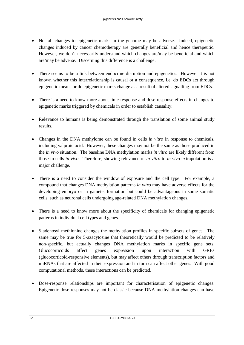- Not all changes to epigenetic marks in the genome may be adverse. Indeed, epigenetic changes induced by cancer chemotherapy are generally beneficial and hence therapeutic. However, we don't necessarily understand which changes are/may be beneficial and which are/may be adverse. Discerning this difference is a challenge.
- There seems to be a link between endocrine disruption and epigenetics. However it is not known whether this interrelationship is causal or a consequence, i.e. do EDCs act through epigenetic means or do epigenetic marks change as a result of altered signalling from EDCs.
- There is a need to know more about time-response and dose-response effects in changes to epigenetic marks triggered by chemicals in order to establish causality.
- Relevance to humans is being demonstrated through the translation of some animal study results.
- Changes in the DNA methylome can be found in cells *in vitro* in response to chemicals, including valproic acid. However, these changes may not be the same as those produced in the *in vivo* situation. The baseline DNA methylation marks *in vitro* are likely different from those in cells *in vivo*. Therefore, showing relevance of *in vitro* to *in vivo* extrapolation is a major challenge.
- There is a need to consider the window of exposure and the cell type. For example, a compound that changes DNA methylation patterns *in vitro* may have adverse effects for the developing embryo or in gamete, formation but could be advantageous in some somatic cells, such as neuronal cells undergoing age-related DNA methylation changes.
- There is a need to know more about the specificity of chemicals for changing epigenetic patterns in individual cell types and genes.
- *S*-adenosyl methionine changes the methylation profiles in specific subsets of genes. The same may be true for 5-azacytosine that theoretically would be predicted to be relatively non-specific, but actually changes DNA methylation marks in specific gene sets. Glucocorticoids affect genes expression upon interaction with GREs (glucocorticoid-responsive elements), but may affect others through transcription factors and miRNAs that are affected in their expression and in turn can affect other genes. With good computational methods, these interactions can be predicted.
- Dose-response relationships are important for characterisation of epigenetic changes. Epigenetic dose-responses may not be classic because DNA methylation changes can have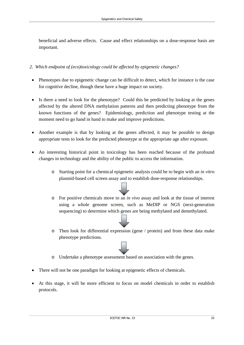beneficial and adverse effects. Cause and effect relationships on a dose-response basis are important.

# *2. Which endpoint of (eco)toxicology could be affected by epigenetic changes?*

- Phenotypes due to epigenetic change can be difficult to detect, which for instance is the case for cognitive decline, though these have a huge impact on society.
- Is there a need to look for the phenotype? Could this be predicted by looking at the genes affected by the altered DNA methylation patterns and then predicting phenotype from the known functions of the genes? Epidemiology, prediction and phenotype testing at the moment need to go hand in hand to make and improve predictions.
- Another example is that by looking at the genes affected, it may be possible to design appropriate tests to look for the predicted phenotype at the appropriate age after exposure.
- An interesting historical point in toxicology has been reached because of the profound changes in technology and the ability of the public to access the information.
	- o Starting point for a chemical epigenetic analysis could be to begin with an *in vitro* plasmid-based cell screen assay and to establish dose-response relationships.
	- o For positive chemicals move to an *in vivo* assay and look at the tissue of interest using a whole genome screen, such as MeDIP or NGS (next-generation sequencing) to determine which genes are being methylated and demethylated.
	- o Then look for differential expression (gene / protein) and from these data make phenotype predictions.
	- o Undertake a phenotype assessment based on association with the genes.
- There will not be one paradigm for looking at epigenetic effects of chemicals.
- At this stage, it will be more efficient to focus on model chemicals in order to establish protocols.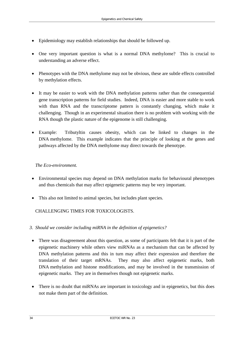- Epidemiology may establish relationships that should be followed up.
- One very important question is what is a normal DNA methylome? This is crucial to understanding an adverse effect.
- Phenotypes with the DNA methylome may not be obvious, these are subtle effects controlled by methylation effects.
- It may be easier to work with the DNA methylation patterns rather than the consequential gene transcription patterns for field studies. Indeed, DNA is easier and more stable to work with than RNA and the transcriptome pattern is constantly changing, which make it challenging. Though in an experimental situation there is no problem with working with the RNA though the plastic nature of the epigenome is still challenging.
- Example: Tributyltin causes obesity, which can be linked to changes in the DNA methylome. This example indicates that the principle of looking at the genes and pathways affected by the DNA methylome may direct towards the phenotype.

### *The Eco-environment.*

- Environmental species may depend on DNA methylation marks for behavioural phenotypes and thus chemicals that may affect epigenetic patterns may be very important.
- This also not limited to animal species, but includes plant species.

# CHALLENGING TIMES FOR TOXICOLOGISTS.

- *3. Should we consider including miRNA in the definition of epigenetics?*
- There was disagreement about this question, as some of participants felt that it is part of the epigenetic machinery while others view miRNAs as a mechanism that can be affected by DNA methylation patterns and this in turn may affect their expression and therefore the translation of their target mRNAs. They may also affect epigenetic marks, both DNA methylation and histone modifications, and may be involved in the transmission of epigenetic marks. They are in themselves though not epigenetic marks.
- There is no doubt that miRNAs are important in toxicology and in epigenetics, but this does not make them part of the definition.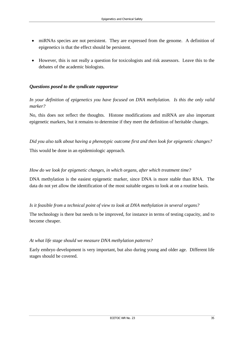- miRNAs species are not persistent. They are expressed from the genome. A definition of epigenetics is that the effect should be persistent.
- However, this is not really a question for toxicologists and risk assessors. Leave this to the debates of the academic biologists.

# *Questions posed to the syndicate rapporteur*

*In your definition of epigenetics you have focused on DNA methylation. Is this the only valid marker?*

No, this does not reflect the thoughts. Histone modifications and miRNA are also important epigenetic markers, but it remains to determine if they meet the definition of heritable changes.

*Did you also talk about having a phenotypic outcome first and then look for epigenetic changes?* This would be done in an epidemiologic approach.

# *How do we look for epigenetic changes, in which organs, after which treatment time?*

DNA methylation is the easiest epigenetic marker, since DNA is more stable than RNA. The data do not yet allow the identification of the most suitable organs to look at on a routine basis.

# *Is it feasible from a technical point of view to look at DNA methylation in several organs?*

The technology is there but needs to be improved, for instance in terms of testing capacity, and to become cheaper.

# *At what life stage should we measure DNA methylation patterns?*

Early embryo development is very important, but also during young and older age. Different life stages should be covered.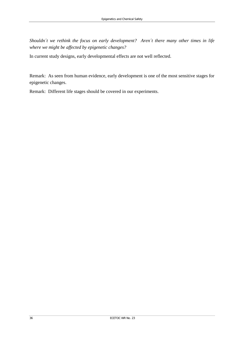*Shouldn´t we rethink the focus on early development? Aren´t there many other times in life where we might be affected by epigenetic changes?*

In current study designs, early developmental effects are not well reflected.

Remark: As seen from human evidence, early development is one of the most sensitive stages for epigenetic changes.

Remark: Different life stages should be covered in our experiments.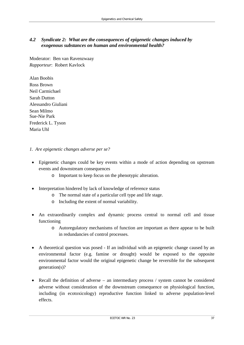# <span id="page-42-0"></span>*4.2 Syndicate 2: What are the consequences of epigenetic changes induced by exogenous substances on human and environmental health?*

Moderator: Ben van Ravenzwaay *Rapporteur*: Robert Kavlock

Alan Boobis Ross Brown Neil Carmichael Sarah Dutton Alessandro Giuliani Sean Milmo Sue-Nie Park Frederick L. Tyson Maria Uhl

*1. Are epigenetic changes adverse per se?* 

- Epigenetic changes could be key events within a mode of action depending on upstream events and downstream consequences
	- o Important to keep focus on the phenotypic alteration.
- Interpretation hindered by lack of knowledge of reference status
	- o The normal state of a particular cell type and life stage.
	- o Including the extent of normal variability.
- An extraordinarily complex and dynamic process central to normal cell and tissue functioning
	- o Autoregulatory mechanisms of function are important as there appear to be built in redundancies of control processes.
- A theoretical question was posed If an individual with an epigenetic change caused by an environmental factor (e.g. famine or drought) would be exposed to the opposite environmental factor would the original epigenetic change be reversible for the subsequent generation(s)?
- Recall the definition of adverse an intermediary process / system cannot be considered adverse without consideration of the downstream consequence on physiological function, including (in ecotoxicology) reproductive function linked to adverse population-level effects.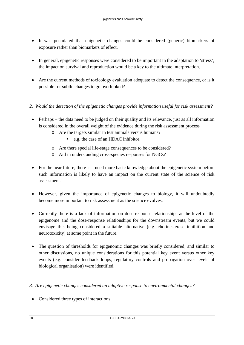- It was postulated that epigenetic changes could be considered (generic) biomarkers of exposure rather than biomarkers of effect.
- In general, epigenetic responses were considered to be important in the adaptation to 'stress', the impact on survival and reproduction would be a key to the ultimate interpretation.
- Are the current methods of toxicology evaluation adequate to detect the consequence, or is it possible for subtle changes to go overlooked?
- *2. Would the detection of the epigenetic changes provide information useful for risk assessment?*
- Perhaps the data need to be judged on their quality and its relevance, just as all information is considered in the overall weight of the evidence during the risk assessment process
	- o Are the targets similar in test animals versus humans?
		- e.g. the case of an HDAC inhibitor.
	- o Are there special life-stage consequences to be considered?
	- o Aid in understanding cross-species responses for NGCs?
- For the near future, there is a need more basic knowledge about the epigenetic system before such information is likely to have an impact on the current state of the science of risk assessment.
- However, given the importance of epigenetic changes to biology, it will undoubtedly become more important to risk assessment as the science evolves.
- Currently there is a lack of information on dose-response relationships at the level of the epigenome and the dose-response relationships for the downstream events, but we could envisage this being considered a suitable alternative (e.g. cholinesterase inhibition and neurotoxicity) at some point in the future.
- The question of thresholds for epigenomic changes was briefly considered, and similar to other discussions, no unique considerations for this potential key event versus other key events (e.g. consider feedback loops, regulatory controls and propagation over levels of biological organisation) were identified.
- *3. Are epigenetic changes considered an adaptive response to environmental changes?*
- Considered three types of interactions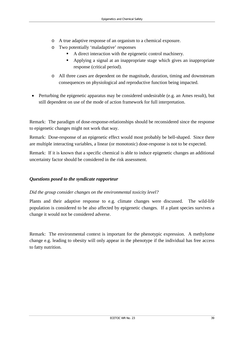- o A true adaptive response of an organism to a chemical exposure.
- o Two potentially 'maladaptive' responses
	- A direct interaction with the epigenetic control machinery.
	- Applying a signal at an inappropriate stage which gives an inappropriate response (critical period).
- o All three cases are dependent on the magnitude, duration, timing and downstream consequences on physiological and reproductive function being impacted.
- Perturbing the epigenetic apparatus may be considered undesirable (e.g. an Ames result), but still dependent on use of the mode of action framework for full interpretation.

Remark: The paradigm of dose-response-relationships should be reconsidered since the response to epigenetic changes might not work that way.

Remark: Dose-response of an epigenetic effect would most probably be bell-shaped. Since there are multiple interacting variables, a linear (or monotonic) dose-response is not to be expected.

Remark: If it is known that a specific chemical is able to induce epigenetic changes an additional uncertainty factor should be considered in the risk assessment.

# *Questions posed to the syndicate rapporteur*

### *Did the group consider changes on the environmental toxicity level?*

Plants and their adaptive response to e.g. climate changes were discussed. The wild-life population is considered to be also affected by epigenetic changes. If a plant species survives a change it would not be considered adverse.

Remark: The environmental context is important for the phenotypic expression. A methylome change e.g. leading to obesity will only appear in the phenotype if the individual has free access to fatty nutrition.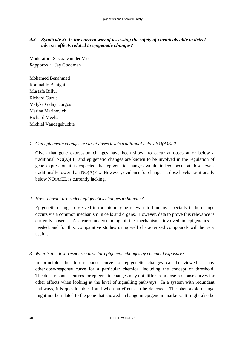# <span id="page-45-0"></span>*4.3 Syndicate 3: Is the current way of assessing the safety of chemicals able to detect adverse effects related to epigenetic changes?*

Moderator: Saskia van der Vies *Rapporteur*: Jay Goodman

Mohamed Benahmed Romualdo Benigni Mustafa Billur Richard Currie Malyka Galay Burgos Marina Marinovich Richard Meehan Michiel Vandegehuchte

# *1. Can epigenetic changes occur at doses levels traditional below NO(A)EL?*

Given that gene expression changes have been shown to occur at doses at or below a traditional NO(A)EL, and epigenetic changes are known to be involved in the regulation of gene expression it is expected that epigenetic changes would indeed occur at dose levels traditionally lower than NO(A)EL. However, evidence for changes at dose levels traditionally below NO(A)EL is currently lacking.

# *2. How relevant are rodent epigenetics changes to humans?*

Epigenetic changes observed in rodents may be relevant to humans especially if the change occurs via a common mechanism in cells and organs. However, data to prove this relevance is currently absent. A clearer understanding of the mechanisms involved in epigenetics is needed, and for this, comparative studies using well characterised compounds will be very useful.

# *3. What is the dose-response curve for epigenetic changes by chemical exposure?*

In principle, the dose-response curve for epigenetic changes can be viewed as any other dose-response curve for a particular chemical including the concept of threshold. The dose-response curves for epigenetic changes may not differ from dose-response curves for other effects when looking at the level of signalling pathways. In a system with redundant pathways, it is questionable if and when an effect can be detected. The phenotypic change might not be related to the gene that showed a change in epigenetic markers. It might also be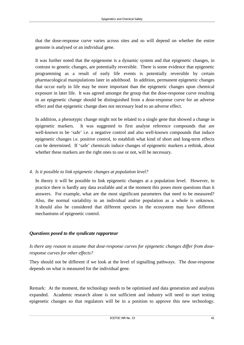that the dose-response curve varies across sites and so will depend on whether the entire genome is analysed or an individual gene.

It was further noted that the epigenome is a dynamic system and that epigenetic changes, in contrast to genetic changes, are potentially reversible. There is some evidence that epigenetic programming as a result of early life events is potentially reversible by certain pharmacological manipulations later in adulthood. In addition, permanent epigenetic changes that occur early in life may be more important than the epigenetic changes upon chemical exposure in later life. It was agreed amongst the group that the dose-response curve resulting in an epigenetic change should be distinguished from a dose-response curve for an adverse effect and that epigenetic change does not necessary lead to an adverse effect.

In addition, a phenotypic change might not be related to a single gene that showed a change in epigenetic markers. It was suggested to first analyse reference compounds that are well-known to be 'safe' i.e. a negative control and also well-known compounds that induce epigenetic changes i.e. positive control, to establish what kind of short and long-term effects can be determined. If 'safe' chemicals induce changes of epigenetic markers a rethink, about whether these markers are the right ones to use or not, will be necessary.

# *4. Is it possible to link epigenetic changes at population level?*

In theory it will be possible to link epigenetic changes at a population level. However, in practice there is hardly any data available and at the moment this poses more questions than it answers. For example, what are the most significant parameters that need to be measured? Also, the normal variability in an individual and/or population as a whole is unknown. It should also be considered that different species in the ecosystem may have different mechanisms of epigenetic control.

# *Questions posed to the syndicate rapporteur*

*Is there any reason to assume that dose-response curves for epigenetic changes differ from doseresponse curves for other effects?*

They should not be different if we look at the level of signalling pathways. The dose-response depends on what is measured for the individual gene.

Remark: At the moment, the technology needs to be optimised and data generation and analysis expanded. Academic research alone is not sufficient and industry will need to start testing epigenetic changes so that regulators will be in a position to approve this new technology.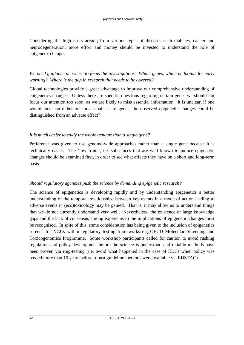Considering the high costs arising from various types of diseases such diabetes, cancer and neurodegeneration, more effort and money should be invested to understand the role of epigenetic changes.

*We need guidance on where to focus the investigations. Which genes, which endpoints for early warning? Where is the gap in research that needs to be covered?*

Global technologies provide a great advantage to improve our comprehensive understanding of epigenetics changes. Unless there are specific questions regarding certain genes we should not focus our attention too soon, as we are likely to miss essential information. It is unclear, if one would focus on either one or a small set of genes, the observed epigenetic changes could be distinguished from an adverse effect?

### *It is much easier to study the whole genome than a single gene?*

Preference was given to use genome-wide approaches rather than a single gene because it is technically easier. The 'low fruits', i.e. substances that are well known to induce epigenetic changes should be examined first, in order to see what effects they have on a short and long-term basis.

### *Should regulatory agencies push the science by demanding epigenetic research?*

The science of epigenetics is developing rapidly and by understanding epigenetics a better understanding of the temporal relationships between key events in a mode of action leading to adverse events in (eco)toxicology may be gained. That is, it may allow us to understand things that we do not currently understand very well. Nevertheless, the existence of large knowledge gaps and the lack of consensus among experts as to the implications of epigenetic changes must be recognised. In spite of this, some consideration has being given to the inclusion of epigenetics screens for NGCs within regulatory testing frameworks e.g. OECD Molecular Screening and Toxicogenomics Programme. Some workshop participants called for caution to avoid rushing regulation and policy development before the science is understood and reliable methods have been proven via ring-testing (i.e. avoid what happened in the case of EDCs when policy was passed more than 10 years before robust guideline methods were available via EDSTAC).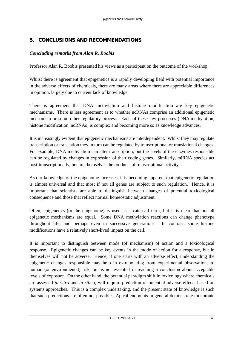# <span id="page-48-0"></span>**5. CONCLUSIONS AND RECOMMENDATIONS**

# *Concluding remarks from Alan R. Boobis*

Professor Alan R. Boobis presented his views as a participant on the outcome of the workshop.

Whilst there is agreement that epigenetics is a rapidly developing field with potential importance in the adverse effects of chemicals, there are many areas where there are appreciable differences in opinion, largely due to current lack of knowledge.

There is agreement that DNA methylation and histone modification are key epigenetic mechanisms. There is less agreement as to whether ncRNAs comprise an additional epigenetic mechanism or some other regulatory process. Each of these key processes (DNA methylation, histone modification, ncRNAs) is complex and becoming more so as knowledge advances.

It is increasingly evident that epigenetic mechanisms are interdependent. Whilst they may regulate transcription or translation they in turn can be regulated by transcriptional or translational changes. For example, DNA methylation can alter transcription, but the levels of the enzymes responsible can be regulated by changes in expression of their coding genes. Similarly, miRNA species act post-transcriptionally, but are themselves the products of transcriptional activity.

As our knowledge of the epigenome increases, it is becoming apparent that epigenetic regulation is almost universal and that most if not all genes are subject to such regulation. Hence, it is important that scientists are able to distinguish between changes of potential toxicological consequence and those that reflect normal homeostatic adjustment.

Often, epigenetics (or the epigenome) is used as a catch-all term, but it is clear that not all epigenetic mechanisms are equal. Some DNA methylation reactions can change phenotype throughout life, and perhaps even in successive generations. In contrast, some histone modifications have a relatively short-lived impact on the cell.

It is important to distinguish between mode (of mechanism) of action and a toxicological response. Epigenetic changes can be key events in the mode of action for a response, but in themselves will not be adverse. Hence, if one starts with an adverse effect, understanding the epigenetic changes responsible may help in extrapolating from experimental observations to human (or environmental) risk, but is not essential in reaching a conclusion about acceptable levels of exposure. On the other hand, the potential paradigm shift in toxicology where chemicals are assessed *in vitro* and *in silico*, will require prediction of potential adverse effects based on systems approaches. This is a complex undertaking, and the present state of knowledge is such that such predictions are often not possible. Apical endpoints in general demonstrate monotonic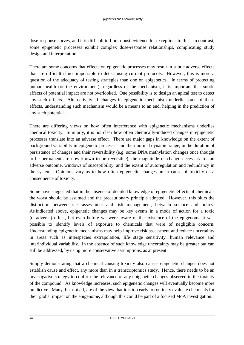dose-response curves, and it is difficult to find robust evidence for exceptions to this. In contrast, some epigenetic processes exhibit complex dose-response relationships, complicating study design and interpretation.

There are some concerns that effects on epigenetic processes may result in subtle adverse effects that are difficult if not impossible to detect using current protocols. However, this is more a question of the adequacy of testing strategies than one on epigenetics. In terms of protecting human health (or the environment), regardless of the mechanism, it is important that subtle effects of potential impact are not overlooked. One possibility is to design an apical test to detect any such effects. Alternatively, if changes in epigenetic mechanism underlie some of these effects, understanding such mechanism would be a means to an end, helping in the prediction of any such potential.

There are differing views on how often interference with epigenetic mechanisms underlies chemical toxicity. Similarly, it is not clear how often chemically-induced changes in epigenetic processes translate into an adverse effect. There are major gaps in knowledge on the extent of background variability in epigenetic processes and their normal dynamic range, in the duration of persistence of changes and their reversibility (e.g. some DNA methylation changes once thought to be permanent are now known to be reversible), the magnitude of change necessary for an adverse outcome, windows of susceptibility, and the extent of autoregulation and redundancy in the system. Opinions vary as to how often epigenetic changes are a cause of toxicity or a consequence of toxicity.

Some have suggested that in the absence of detailed knowledge of epigenetic effects of chemicals the worst should be assumed and the precautionary principle adopted. However, this blurs the distinction between risk assessment and risk management, between science and policy. As indicated above, epigenetic changes may be key events in a mode of action for a toxic (or adverse) effect, but even before we were aware of the existence of the epigenome it was possible to identify levels of exposure to chemicals that were of negligible concern. Understanding epigenetic mechanisms may help improve risk assessment and reduce uncertainty in areas such as interspecies extrapolation, life stage sensitivity, human relevance and interindividual variability. In the absence of such knowledge uncertainty may be greater but can still be addressed, by using more conservative assumptions, as at present.

Simply demonstrating that a chemical causing toxicity also causes epigenetic changes does not establish cause and effect, any more than in a transcriptomics study. Hence, there needs to be an investigative strategy to confirm the relevance of any epigenetic changes observed in the toxicity of the compound. As knowledge increases, such epigenetic changes will eventually become more predictive. Many, but not all, are of the view that it is too early to routinely evaluate chemicals for their global impact on the epigenome, although this could be part of a focused MoA investigation.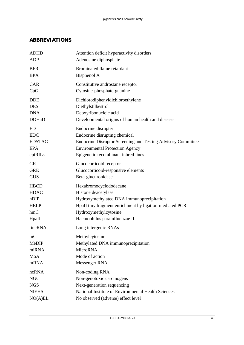# <span id="page-50-0"></span>**ABBREVIATIONS**

| <b>ADHD</b>   | Attention deficit hyperactivity disorders                           |
|---------------|---------------------------------------------------------------------|
| <b>ADP</b>    | Adenosine diphosphate                                               |
| <b>BFR</b>    | <b>Brominated flame retardant</b>                                   |
| <b>BPA</b>    | Bisphenol A                                                         |
| CAR           | Constitutive androstane receptor                                    |
| CpG           | Cytosine-phosphate-guanine                                          |
| <b>DDE</b>    | Dichlorodiphenyldichloroethylene                                    |
| <b>DES</b>    | Diethylstilbestrol                                                  |
| <b>DNA</b>    | Deoxyribonucleic acid                                               |
| <b>DOHaD</b>  | Developmental origins of human health and disease                   |
| ED            | Endocrine disrupter                                                 |
| <b>EDC</b>    | Endocrine disrupting chemical                                       |
| <b>EDSTAC</b> | <b>Endocrine Disruptor Screening and Testing Advisory Committee</b> |
| <b>EPA</b>    | <b>Environmental Protection Agency</b>                              |
| epiRILs       | Epigenetic recombinant inbred lines                                 |
| <b>GR</b>     | Glucocorticoid receptor                                             |
| <b>GRE</b>    | Glucocorticoid-responsive elements                                  |
| <b>GUS</b>    | Beta-glucuronidase                                                  |
| <b>HBCD</b>   | Hexabromocyclododecane                                              |
| <b>HDAC</b>   | Histone deacetylase                                                 |
| hDIP          | Hydroxymethylated DNA immunoprecipitation                           |
| <b>HELP</b>   | HpaII tiny fragment enrichment by ligation-mediated PCR             |
| hmC           | Hydroxymethylcytosine                                               |
| HpaII         | Haemophilus parainfluenzae II                                       |
| lincRNAs      | Long intergenic RNAs                                                |
| mc            | Methylcytosine                                                      |
| MeDIP         | Methylated DNA immunoprecipitation                                  |
| miRNA         | <b>MicroRNA</b>                                                     |
| MoA           | Mode of action                                                      |
| mRNA          | Messenger RNA                                                       |
| ncRNA         | Non-coding RNA                                                      |
| <b>NGC</b>    | Non-genotoxic carcinogens                                           |
| <b>NGS</b>    | Next-generation sequencing                                          |
| <b>NIEHS</b>  | National Institute of Environmental Health Sciences                 |
| NO(A)EL       | No observed (adverse) effect level                                  |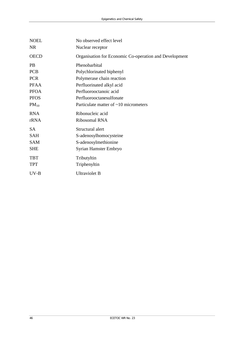| <b>NOEL</b> | No observed effect level                               |
|-------------|--------------------------------------------------------|
| <b>NR</b>   | Nuclear receptor                                       |
| <b>OECD</b> | Organisation for Economic Co-operation and Development |
| <b>PB</b>   | Phenobarbital                                          |
| <b>PCB</b>  | Polychlorinated biphenyl                               |
| <b>PCR</b>  | Polymerase chain reaction                              |
| <b>PFAA</b> | Perfluorinated alkyl acid                              |
| <b>PFOA</b> | Perfluorooctanoic acid                                 |
| <b>PFOS</b> | Perfluorooctanesulfonate                               |
| $PM_{10}$   | Particulate matter of $\sim$ 10 micrometers            |
| <b>RNA</b>  | Ribonucleic acid                                       |
| rRNA        | Ribosomal RNA                                          |
| <b>SA</b>   | Structural alert                                       |
| <b>SAH</b>  | S-adenosylhomocysteine                                 |
| <b>SAM</b>  | S-adenosylmethionine                                   |
| <b>SHE</b>  | Syrian Hamster Embryo                                  |
| <b>TBT</b>  | Tributyltin                                            |
| <b>TPT</b>  | Triphenyltin                                           |
| $UV-B$      | <b>Ultraviolet B</b>                                   |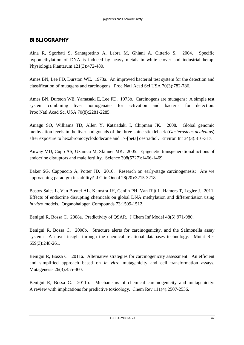# <span id="page-52-0"></span>**BIBLIOGRAPHY**

Aina R, Sgorbati S, Santagostino A, Labra M, Ghiani A, Citterio S. 2004. Specific hypomethylation of DNA is induced by heavy metals in white clover and industrial hemp. Physiologia Plantarum 121(3):472-480.

Ames BN, Lee FD, Durston WE. 1973a. An improved bacterial test system for the detection and classification of mutagens and carcinogens. Proc Natl Acad Sci USA 70(3):782-786.

Ames BN, Durston WE, Yamasaki E, Lee FD. 1973b. Carcinogens are mutagens: A simple test system combining liver homogenates for activation and bacteria for detection. Proc Natl Acad Sci USA 70(8):2281-2285.

Aniagu SO, Williams TD, Allen Y, Katsiadaki I, Chipman JK. 2008. Global genomic methylation levels in the liver and gonads of the three-spine stickleback (*Gasterosteus aculeatus*) after exposure to hexabromocyclododecane and 17-[beta] oestradiol. Environ Int 34(3):310-317.

Anway MD, Cupp AS, Uzumcu M, Skinner MK. 2005. Epigenetic transgenerational actions of endocrine disruptors and male fertility. Science 308(5727):1466-1469.

Baker SG, Cappuccio A, Potter JD. 2010. Research on early-stage carcinogenesis: Are we approaching paradigm instability? J Clin Oncol 28(20):3215-3218.

Bastos Sales L, Van Boxtel AL, Kamstra JH, Cenijn PH, Van Rijt L, Hamers T, Legler J. 2011. Effects of endocrine disrupting chemicals on global DNA methylation and differentiation using *in vitro* models. Organohalogen Compounds 73:1509-1512.

Benigni R, Bossa C. 2008a. Predictivity of QSAR. J Chem Inf Model 48(5):971-980.

Benigni R, Bossa C. 2008b. Structure alerts for carcinogenicity, and the Salmonella assay system: A novel insight through the chemical relational databases technology. Mutat Res 659(3):248-261.

Benigni R, Bossa C. 2011a. Alternative strategies for carcinogenicity assessment: An efficient and simplified approach based on *in vitro* mutagenicity and cell transformation assays. Mutagenesis 26(3):455-460.

Benigni R, Bossa C. 2011b. Mechanisms of chemical carcinogenicity and mutagenicity: A review with implications for predictive toxicology. Chem Rev 111(4):2507-2536.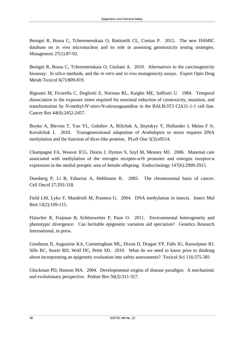Benigni R, Bossa C, Tcheremenskaia O, Battistelli CL, Crettaz P. 2012. The new ISSMIC database on *in vivo* micronucleus and its role in assessing genotoxicity testing strategies. Mutagenesis 27(1):87-92.

Benigni R, Bossa C, Tcheremenskaia O, Giuliani A. 2010. Alternatives to the carcinogenicity bioassay: *In silico* methods, and the *in vitro* and *in vivo* mutagenicity assays. Expert Opin Drug Metab Toxicol 6(7):809-819.

Bignami M, Ficorella C, Dogliotti E, Norman RL, Kaighn ME, Saffiotti U. 1984. Temporal dissociation in the exposure times required for maximal induction of cytotoxicity, mutation, and transformation by N-methyl-N'-nitro-N-nitrosoguanidine in the BALB/3T3 ClA31-1-1 cell line. Cancer Res 44(6):2452-2457.

Boyko A, Blevins T, Yao YL, Golubov A, Bilichak A, Ilnytskyy Y, Hollander J, Meins F Jr, Kovalchuk I. 2010. Transgenerational adaptation of *Arabidopsis* to stress requires DNA methylation and the function of dicer-like proteins. PLoS One 5(3):e9514.

Champagne FA, Weaver ICG, Diorio J, Dymov S, Szyf M, Meaney MJ. 2006. Maternal care associated with methylation of the estrogen receptor-α1b promoter and estrogen receptor-α expression in the medial preoptic area of female offspring. Endocrinology 147(6):2909-2915.

Duesberg P, Li R, Fabarius A, Hehlmann R. 2005. The chromosomal basis of cancer. Cell Oncol 27:293-318.

Field LM, Lyko F, Mandrioli M, Prantera G. 2004. DNA methylation in insects. Insect Mol Biol 13(2):109-115.

Flatscher R, Frajman B, Schönswetter P, Paun O. 2011. Environmental heterogeneity and phenotypic divergence: Can heritable epigenetic variation aid speciation? Genetics Research International, in press.

Goodman JI, Augustine KA, Cunnningham ML, Dixon D, Dragan YP, Falls JG, Rasoulpour RJ, Sills RC, Storer RD, Wolf DC, Pettit SD. 2010. What do we need to know prior to thinking about incorporating an epigenetic evaluation into safety assessments? Toxicol Sci 116:375-381

Gluckman PD, Hanson MA. 2004. Developmental origins of disease paradigm: A mechanistic and evolutionary perspective. Pediatr Res 56(3):311-317.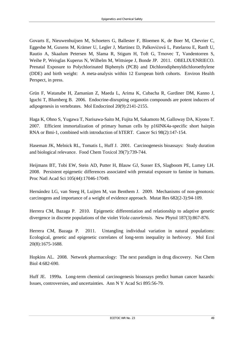Govarts E, Nieuwenhuijsen M, Schoeters G, Ballester F, Bloemen K, de Boer M, Chevrier C, Eggesbø M, Guxens M, Krämer U, Legler J, Martinez D, Palkovičová L, Patelarou E, Ranft U, Rautio A, Skaalum Petersen M, Slama R, Stigum H, Toft G, Trnovec T, Vandentorren S, Weihe P, Weisglas Kuperus N, Wilhelm M, Wittsiepe J, Bonde JP. 2011. OBELIX/ENRIECO. Prenatal Exposure to Polychlorinated Biphenyls (PCB) and Dichlorodiphenyldichloroethylene (DDE) and birth weight: A meta-analysis within 12 European birth cohorts. Environ Health Perspect, in press.

Grün F, Watanabe H, Zamanian Z, Maeda L, Arima K, Cubacha R, Gardiner DM, Kanno J, Iguchi T, Blumberg B. 2006. Endocrine-disrupting organotin compounds are potent inducers of adipogenesis in vertebrates. Mol Endocrinol 20(9):2141-2155.

Haga K, Ohno S, Yugawa T, Narisawa-Saito M, Fujita M, Sakamoto M, Galloway DA, Kiyono T. 2007. Efficient immortalization of primary human cells by p16INK4a-specific short hairpin RNA or Bmi-1, combined with introduction of hTERT. Cancer Sci 98(2):147-154.

Haseman JK, Melnick RL, Tomatis L, Huff J. 2001. Carcinogenesis bioassays: Study duration and biological relevance. Food Chem Toxicol 39(7):739-744.

Heijmans BT, Tobi EW, Stein AD, Putter H, Blauw GJ, Susser ES, Slagboom PE, Lumey LH. 2008. Persistent epigenetic differences associated with prenatal exposure to famine in humans. Proc Natl Acad Sci 105(44):17046-17049.

Hernández LG, van Steeg H, Luijten M, van Benthem J. 2009. Mechanisms of non-genotoxic carcinogens and importance of a weight of evidence approach. Mutat Res 682(2-3):94-109.

Herrera CM, Bazaga P. 2010. Epigenetic differentiation and relationship to adaptive genetic divergence in discrete populations of the violet *Viola cazorlensis*. New Phytol 187(3):867-876.

Herrera CM, Bazaga P. 2011. Untangling individual variation in natural populations: Ecological, genetic and epigenetic correlates of long-term inequality in herbivory. Mol Ecol 20(8):1675-1688.

Hopkins AL. 2008. Network pharmacology: The next paradigm in drug discovery. Nat Chem Biol 4:682-690.

Huff JE. 1999a. Long-term chemical carcinogenesis bioassays predict human cancer hazards: Issues, controversies, and uncertainties. Ann N Y Acad Sci 895:56-79.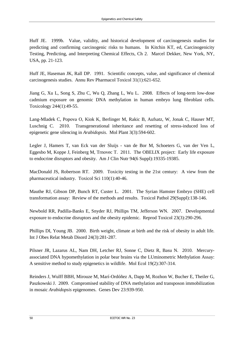Huff JE. 1999b. Value, validity, and historical development of carcinogenesis studies for predicting and confirming carcinogenic risks to humans. In Kitchin KT, ed, Carcinogenicity Testing, Predicting, and Interpreting Chemical Effects, Ch 2. Marcel Dekker, New York, NY, USA, pp. 21-123.

Huff JE, Haseman JK, Rall DP. 1991. Scientific concepts, value, and significance of chemical carcinogenesis studies. Annu Rev Pharmacol Toxicol 31(1):621-652.

Jiang G, Xu L, Song S, Zhu C, Wu Q, Zhang L, Wu L. 2008. Effects of long-term low-dose cadmium exposure on genomic DNA methylation in human embryo lung fibroblast cells. Toxicology 244(1):49-55.

Lang-Mladek C, Popova O, Kiok K, Berlinger M, Rakic B, Aufsatz, W, Jonak C, Hauser MT, Luschnig C. 2010. Transgenerational inheritance and resetting of stress-induced loss of epigenetic gene silencing in *Arabidopsis*. Mol Plant 3(3):594-602.

Legler J, Hamers T, van Eck van der Sluijs - van de Bor M, Schoeters G, van der Ven L, Eggesbo M, Koppe J, Feinberg M, Trnovec T. 2011. The OBELIX project: Early life exposure to endocrine disruptors and obesity. Am J Clin Nutr 94(6 Suppl):19335-19385.

MacDonald JS, Robertson RT. 2009. Toxicity testing in the 21st century: A view from the pharmaceutical industry. Toxicol Sci 110(1):40-46.

Mauthe RJ, Gibson DP, Bunch RT, Custer L. 2001. The Syrian Hamster Embryo (SHE) cell transformation assay: Review of the methods and results. Toxicol Pathol 29(Suppl):138-146.

Newbold RR, Padilla-Banks E, Snyder RJ, Phillips TM, Jefferson WN. 2007. Developmental exposure to endocrine disruptors and the obesity epidemic. Reprod Toxicol 23(3):290-296.

Phillips DI, Young JB. 2000. Birth weight, climate at birth and the risk of obesity in adult life. Int J Obes Relat Metab Disord 24(3):281-287.

Pilsner JR, Lazarus AL, Nam DH, Letcher RJ, Sonne C, Dietz R, Basu N. 2010. Mercuryassociated DNA hypomethylation in polar bear brains via the LUminometric Methylation Assay: A sensitive method to study epigenetics in wildlife. Mol Ecol 19(2):307-314.

Reinders J, Wulff BBH, Mirouze M, Marí-Ordóñez A, Dapp M, Rozhon W, Bucher E, Theiler G, Paszkowski J. 2009. Compromised stability of DNA methylation and transposon immobilization in mosaic *Arabidopsis* epigenomes. Genes Dev 23:939-950.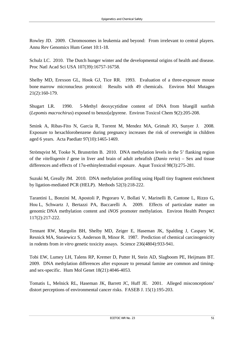Rowley JD. 2009. Chromosomes in leukemia and beyond: From irrelevant to central players. Annu Rev Genomics Hum Genet 10:1-18.

Schulz LC. 2010. The Dutch hunger winter and the developmental origins of health and disease. Proc Natl Acad Sci USA 107(39):16757-16758.

Shelby MD, Erexson GL, Hook GJ, Tice RR. 1993. Evaluation of a three-exposure mouse bone marrow micronucleus protocol: Results with 49 chemicals. Environ Mol Mutagen 21(2):160-179.

Shugart LR. 1990. 5-Methyl deoxycytidine content of DNA from bluegill sunfish (*Lepomis macrochirus*) exposed to benzo[*a*]pyrene. Environ Toxicol Chem 9(2):205-208.

Smink A, Ribas-Fito N, Garcia R, Torrent M, Mendez MA, Grimalt JO, Sunyer J. 2008. Exposure to hexachlorobenzene during pregnancy increases the risk of overweight in children aged 6 years. Acta Paediatr 97(10):1465-1469.

Strömqvist M, Tooke N, Brunström B. 2010. DNA methylation levels in the 5' flanking region of the *vitellogenin I* gene in liver and brain of adult zebrafish (*Danio rerio*) – Sex and tissue differences and effects of 17α-ethinylestradiol exposure. Aquat Toxicol 98(3):275-281.

Suzuki M, Greally JM. 2010. DNA methylation profiling using HpaII tiny fragment enrichment by ligation-mediated PCR (HELP). Methods 52(3):218-222.

Tarantini L, Bonzini M, Apostoli P, Pegoraro V, Bollati V, Marinelli B, Cantone L, Rizzo G, Hou L, Schwartz J, Bertazzi PA, Baccarelli A. 2009. Effects of particulate matter on genomic DNA methylation content and *iNOS* promoter methylation. Environ Health Perspect 117(2):217-222.

Tennant RW, Margolin BH, Shelby MD, Zeiger E, Haseman JK, Spalding J, Caspary W, Resnick MA, Stasiewicz S, Anderson B, Minor R. 1987. Prediction of chemical carcinogenicity in rodents from *in vitro* genetic toxicity assays. Science 236(4804):933-941.

Tobi EW, Lumey LH, Talens RP, Kremer D, Putter H, Stein AD, Slagboom PE, Heijmans BT. 2009. DNA methylation differences after exposure to prenatal famine are common and timingand sex-specific. Hum Mol Genet 18(21):4046-4053.

Tomatis L, Melnick RL, Haseman JK, Barrett JC, Huff JE. 2001. Alleged misconceptions' distort perceptions of environmental cancer risks. FASEB J. 15(1):195-203.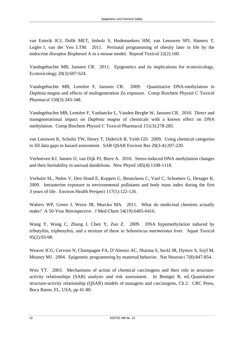van Esterik JCJ, Dollé MET, Imholz S, Hodemaekers HM, van Leeuwen SPJ, Hamers T, Legler J, van der Ven LTM. 2011. Perinatal programming of obesity later in life by the endocrine disruptor Bisphenol A in a mouse model. Reprod Toxicol 32(2):160.

Vandegehuchte MB, Janssen CR. 2011. Epigenetics and its implications for ecotoxicology. Ecotoxicology 20(3):607-624.

Vandegehuchte MB, Lemière F, Janssen CR. 2009. Quantitative DNA-methylation in *Daphnia magna* and effects of multigeneration Zn exposure. Comp Biochem Physiol C Toxicol Pharmacol 150(3):343-348.

Vandegehuchte MB, Lemière F, Vanhaecke L, Vanden Berghe W, Janssen CR. 2010. Direct and transgenerational impact on *Daphnia magna* of chemicals with a known effect on DNA methylation. Comp Biochem Physiol C Toxicol Pharmacol 151(3):278-285.

van Leeuwen K, Schultz TW, Henry T, Diderich B, Veith GD. 2009. Using chemical categories to fill data gaps in hazard assessment. SAR QSAR Environ Res 20(3-4):207-220.

Verhoeven KJ, Jansen JJ, van Dijk PJ, Biere A. 2010. Stress-induced DNA methylation changes and their heritability in asexual dandelions. New Phytol 185(4):1108-1118.

Verhulst SL, Nelen V, Den Hond E, Koppen G, Beunckens C, Vael C, Schoeters G, Desager K. 2009. Intrauterine exposure to environmental pollutants and body mass index during the first 3 years of life. Environ Health Perspect 117(1):122-126.

Walters WP, Green J, Weiss JR, Murcko MA. 2011. What do medicinal chemists actually make? A 50-Year Retrospective. J Med Chem 54(19):6405-6416.

Wang Y, Wang C, Zhang J, Chen Y, Zuo Z. 2009. DNA hypomethylation induced by tributyltin, triphenyltin, and a mixture of these in *Sebastiscus marmoratus* liver. Aquat Toxicol 95(2):93-98.

Weaver ICG, Cervoni N, Champagne FA, D'Alessio AC, Sharma S, Seckl JR, Dymov S, Szyf M, Meaney MJ. 2004. Epigenetic programming by maternal behavior. Nat Neurosci 7(8):847-854.

Woo YT. 2003. Mechanisms of action of chemical carcinogens and their role in structureactivity relationships (SAR) analysis and risk assessment. In Benigni R, ed, Quantitative structure-activity relationship (QSAR) models of mutagens and carcinogens, Ch 2. CRC Press, Boca Raton, FL, USA, pp 41-80.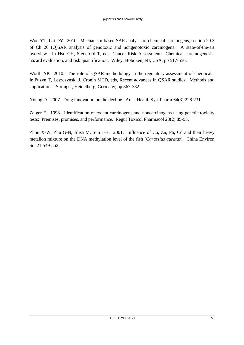Woo YT, Lai DY. 2010. Mechanism-based SAR analysis of chemical carcinogens, section 20.3 of Ch 20 (Q)SAR analysis of genotoxic and nongenotoxic carcinogens: A state-of-the-art overview. In Hsu CH, Stedeford T, eds, Cancer Risk Assessment: Chemical carcinogenesis, hazard evaluation, and risk quantification. Wiley, Hoboken, NJ, USA, pp 517-556.

Worth AP. 2010. The role of QSAR methodology in the regulatory assessment of chemicals. In Puzyn T, Leszczynski J, Cronin MTD, eds, Recent advances in QSAR studies: Methods and applications. Springer, Heidelberg, Germany, pp 367-382.

Young D. 2007. Drug innovation on the decline. Am J Health Syst Pharm 64(3):228-231.

Zeiger E. 1998. Identification of rodent carcinogens and noncarcinogens using genetic toxicity tests: Premises, promises, and performance. Regul Toxicol Pharmacol 28(2):85-95.

Zhou X-W, Zhu G-N, Jilisa M, Sun J-H. 2001. Influence of Cu, Zn, Pb, Cd and their heavy metalion mixture on the DNA methylation level of the fish (*Carassius auratus*). China Environ Sci 21:549-552.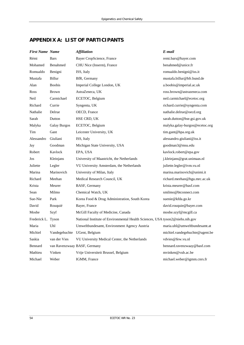# <span id="page-59-0"></span>**APPENDIX A: LIST OF PARTICIPANTS**

| <b>First Name Name</b> |                     | <b>Affiliation</b>                                                            | E-mail                         |
|------------------------|---------------------|-------------------------------------------------------------------------------|--------------------------------|
| Rémi                   | <b>Bars</b>         | Bayer CropScience, France                                                     | remi.bars@bayer.com            |
| Mohamed                | Benahmed            | CHU Nice (Inserm), France                                                     | benahmed@unice.fr              |
| Romualdo               | Benigni             | ISS, Italy                                                                    | romualdo.benigni@iss.it        |
| Mustafa                | Billur              | BfR, Germany                                                                  | mustafa.billur@bfr.bund.de     |
| Alan                   | <b>Boobis</b>       | Imperial College London, UK                                                   | a.boobis@imperial.ac.uk        |
| Ross                   | <b>Brown</b>        | AstraZeneca, UK                                                               | ross.brown@astrazeneca.com     |
| Neil                   | Carmichael          | ECETOC, Belgium                                                               | neil.carmichael@ecetoc.org     |
| Richard                | Currie              | Syngenta, UK                                                                  | richard.currie@syngenta.com    |
| Nathalie               | Delrue              | OECD, France                                                                  | nathalie.delrue@oecd.org       |
| Sarah                  | Dutton              | HSE CRD, UK                                                                   | sarah.dutton@hse.gsi.gov.uk    |
| Malyka                 | <b>Galay Burgos</b> | ECETOC, Belgium                                                               | malyka.galay-burgos@ecetoc.org |
| Tim                    | Gant                | Leicester University, UK                                                      | tim.gant@hpa.org.uk            |
| Alessandro             | Giuliani            | ISS, Italy                                                                    | alessandro.giuliani@iss.it     |
| Jay                    | Goodman             | Michigan State University, USA                                                | goodman3@msu.edu               |
| Robert                 | Kavlock             | EPA, USA                                                                      | kavlock.robert@epa.gov         |
| Jos                    | Kleinjans           | University of Maastricht, the Netherlands                                     | j.kleinjans@grat.unimaas.nl    |
| Juliette               | Legler              | VU University Amsterdam, the Netherlands                                      | juliette.legler@ivm.vu.nl      |
| Marina                 | Marinovich          | University of Milan, Italy                                                    | marina.marinovich@unimi.it     |
| Richard                | Meehan              | Medical Research Council, UK                                                  | richard.meehan@hgu.mrc.ac.uk   |
| Krista                 | Meurer              | BASF, Germany                                                                 | krista.meurer@basf.com         |
| Sean                   | Milmo               | Chemical Watch, UK                                                            | smilmo@btconnect.com           |
| Sue-Nie                | Park                | Korea Food & Drug Administration, South Korea                                 | suenie@kfda.go.kr              |
| David                  | Rouquié             | Bayer, France                                                                 | david.rouquie@bayer.com        |
| Moshe                  | Szyf                | McGill Faculty of Medicine, Canada                                            | moshe.szyf@mcgill.ca           |
| Frederick L. Tyson     |                     | National Institute of Environmental Health Sciences, USA tyson2@niehs.nih.gov |                                |
| Maria                  | Uhl                 | Umweltbundesamt, Environment Agency Austria                                   | maria.uhl@umweltbundesamt.at   |
| Michiel                |                     | Vandegehuchte UGent, Belgium                                                  | michiel.vandegehuchte@ugent.be |
| Saskia                 | van der Vies        | VU University Medical Center, the Netherlands                                 | vdvies@few.vu.nl               |
| Bennard                |                     | van Ravenzwaay BASF, Germany                                                  | bennard.ravenzwaay@basf.com    |
| Mathieu                | Vinken              | Vrije Universiteit Brussel, Belgium                                           | mvinken@vub.ac.be              |
| Michael                | Weber               | IGMM, France                                                                  | michael.weber@igmm.cnrs.fr     |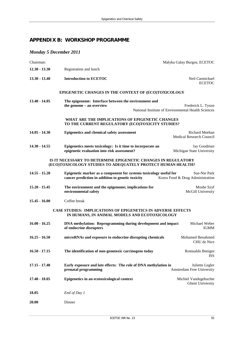# <span id="page-60-0"></span>**APPENDIX B: WORKSHOP PROGRAMME**

# *Monday 5 December 2011*

| Chairman:       |                                                                                                                              | Malyka Galay Burgos, ECETOC                                               |
|-----------------|------------------------------------------------------------------------------------------------------------------------------|---------------------------------------------------------------------------|
| $12.30 - 13.30$ | Registration and lunch                                                                                                       |                                                                           |
| $13.30 - 13.40$ | <b>Introduction to ECETOC</b>                                                                                                | Neil Carmichael<br><b>ECETOC</b>                                          |
|                 | EPIGENETIC CHANGES IN THE CONTEXT OF (ECO)TOXICOLOGY                                                                         |                                                                           |
| $13.40 - 14.05$ | The epigenome: Interface between the environment and<br>the genome - an overview                                             | Frederick L. Tyson<br>National Institute of Environmental Health Sciences |
|                 | WHAT ARE THE IMPLICATIONS OF EPIGENETIC CHANGES<br>TO THE CURRENT REGULATORY (ECO)TOXICITY STUDIES?                          |                                                                           |
| $14.05 - 14.30$ | <b>Epigenetics and chemical safety assessment</b>                                                                            | Richard Meehan<br><b>Medical Research Council</b>                         |
| $14.30 - 14.55$ | Epigenetics meets toxicology: Is it time to incorporate an<br>epigenetic evaluation into risk assessment?                    | Jay Goodman<br>Michigan State University                                  |
|                 | IS IT NECESSARY TO DETERMINE EPIGENETIC CHANGES IN REGULATORY<br>(ECO)TOXICOLOGY STUDIES TO ADEQUATELY PROTECT HUMAN HEALTH? |                                                                           |
| $14.55 - 15.20$ | Epigenetic marker as a component for systems toxicology useful for<br>cancer prediction in addition to genetic toxicity      | Sue-Nie Park<br>Korea Food & Drug Administration                          |
| $15.20 - 15.45$ | The environment and the epigenome; implications for<br>environmental safety                                                  | Moshe Szyf<br>McGill University                                           |
| $15.45 - 16.00$ | Coffee break                                                                                                                 |                                                                           |
|                 | <b>CASE STUDIES: IMPLICATIONS OF EPIGENETICS IN ADVERSE EFFECTS</b><br>IN HUMANS, IN ANIMAL MODELS AND ECOTOXICOLOGY         |                                                                           |
| $16.00 - 16.25$ | DNA methylation: Reprogramming during development and impact<br>of endocrine disrupters                                      | Michael Weber<br><b>IGMM</b>                                              |
| $16.25 - 16.50$ | microRNAs and exposure to endocrine disrupting chemicals                                                                     | Mohamed Benahmed<br>CHU de Nice                                           |
| $16.50 - 17.15$ | The identification of non-genotoxic carcinogens today                                                                        | Romualdo Benigni<br>ISS                                                   |
| $17.15 - 17.40$ | Early exposure and late effects: The role of DNA methylation in<br>prenatal programming                                      | Juliette Legler<br>Amsterdam Free University                              |
| $17.40 - 18.05$ | Epigenetics in an ecotoxicological context                                                                                   | Michiel Vandegehuchte<br><b>Ghent University</b>                          |
| 18.05           | End of Day 1                                                                                                                 |                                                                           |
| 20.00           | Dinner                                                                                                                       |                                                                           |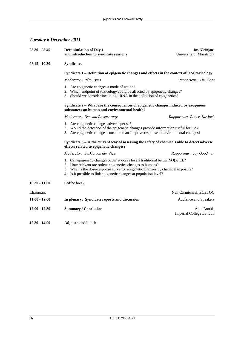# *Tuesday 6 December 2011*

| $08.30 - 08.45$ | <b>Recapitulation of Day 1</b><br>and introduction to syndicate sessions                                                                                                                                                                                                                        | Jos Kleinjans<br>University of Maastricht     |  |  |
|-----------------|-------------------------------------------------------------------------------------------------------------------------------------------------------------------------------------------------------------------------------------------------------------------------------------------------|-----------------------------------------------|--|--|
| $08.45 - 10.30$ | <b>Syndicates</b>                                                                                                                                                                                                                                                                               |                                               |  |  |
|                 | Syndicate 1 – Definition of epigenetic changes and effects in the context of (eco)toxicology                                                                                                                                                                                                    |                                               |  |  |
|                 | Moderator: Rémi Bars                                                                                                                                                                                                                                                                            | Rapporteur: Tim Gant                          |  |  |
|                 | 1. Are epigenetic changes a mode of action?<br>2. Which endpoint of toxicology could be affected by epigenetic changes?<br>3. Should we consider including µRNA in the definition of epigenetics?                                                                                               |                                               |  |  |
|                 | Syndicate 2 – What are the consequences of epigenetic changes induced by exogenous<br>substances on human and environmental health?                                                                                                                                                             |                                               |  |  |
|                 | Moderator: Ben van Ravenzwaay                                                                                                                                                                                                                                                                   | Rapporteur: Robert Kavlock                    |  |  |
|                 | 1. Are epigenetic changes adverse per se?<br>2. Would the detection of the epigenetic changes provide information useful for RA?<br>3. Are epigenetic changes considered an adaptive response to environmental changes?                                                                         |                                               |  |  |
|                 | Syndicate $3 - Is$ the current way of assessing the safety of chemicals able to detect adverse<br>effects related to epigenetic changes?                                                                                                                                                        |                                               |  |  |
|                 | Moderator: Saskia van der Vies                                                                                                                                                                                                                                                                  | Rapporteur: Jay Goodman                       |  |  |
|                 | 1. Can epigenetic changes occur at doses levels traditional below NO(A)EL?<br>2. How relevant are rodent epigenetics changes to humans?<br>3. What is the dose-response curve for epigenetic changes by chemical exposure?<br>4. Is it possible to link epigenetic changes at population level? |                                               |  |  |
| $10.30 - 11.00$ | Coffee break                                                                                                                                                                                                                                                                                    |                                               |  |  |
| Chairman:       |                                                                                                                                                                                                                                                                                                 | Neil Carmichael, ECETOC                       |  |  |
| $11.00 - 12.00$ | In plenary: Syndicate reports and discussion                                                                                                                                                                                                                                                    | Audience and Speakers                         |  |  |
| $12.00 - 12.30$ | <b>Summary / Conclusion</b>                                                                                                                                                                                                                                                                     | Alan Boobis<br><b>Imperial College London</b> |  |  |
| $12.30 - 14.00$ | <b>Adjourn</b> and Lunch                                                                                                                                                                                                                                                                        |                                               |  |  |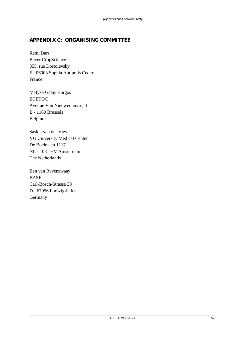# <span id="page-62-0"></span>**APPENDIX C: ORGANISING COMMITTEE**

Rémi Bars Bayer CropScience 355, rue Dostoïevsky F - 06903 Sophia Antipolis Cedex France

Malyka Galay Burgos ECETOC Avenue Van Nieuwenhuyse, 4 B - 1160 Brussels Belgium

Saskia van der Vies VU University Medical Center De Boelelaan 1117 NL - 1081 HV Amsterdam The Netherlands

Ben van Ravenzwaay BASF Carl-Bosch-Strasse 38 D - 67056 Ludwigshafen Germany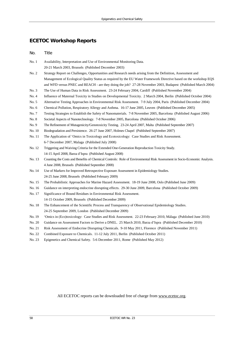# **ECETOC Workshop Reports**

- No. Title
- No. 1 Availability, Interpretation and Use of Environmental Monitoring Data. 20-21 March 2003, Brussels (Published December 2003)
- No. 2 Strategy Report on Challenges, Opportunities and Research needs arising from the Definition, Assessment and Management of Ecological Quality Status as required by the EU Water Framework Directive based on the workshop EQS and WFD versus PNEC and REACH - are they doing the job? 27-28 November 2003, Budapest (Published March 2004)
- No. 3 The Use of Human Data in Risk Assessment. 23-24 February 2004, Cardiff (Published November 2004)
- No. 4 Influence of Maternal Toxicity in Studies on Developmental Toxicity. 2 March 2004, Berlin (Published October 2004)
- No. 5 Alternative Testing Approaches in Environmental Risk Assessment. 7-9 July 2004, Paris (Published December 2004)
- No. 6 Chemical Pollution, Respiratory Allergy and Asthma. 16-17 June 2005, Leuven (Published December 2005)
- No. 7 Testing Strategies to Establish the Safety of Nanomaterials. 7-8 November 2005, Barcelona (Published August 2006)
- No. 8 Societal Aspects of Nanotechnology. 7-8 November 2005, Barcelona (Published October 2006)
- No. 9 The Refinement of Mutagenicity/Genotoxicity Testing. 23-24 April 2007, Malta (Published September 2007)
- No. 10 Biodegradation and Persistence. 26-27 June 2007, Holmes Chapel (Published September 2007)
- No. 11 The Application of 'Omics in Toxicology and Ecotoxicology: Case Studies and Risk Assessment. 6-7 December 2007, Malaga (Published July 2008)
- No. 12 Triggering and Waiving Criteria for the Extended One-Generation Reproduction Toxicity Study. 14-15 April 2008, Barza d'Ispra (Published August 2008)
- No. 13 Counting the Costs and Benefits of Chemical Controls: Role of Environmental Risk Assessment in Socio-Economic Analysis. 4 June 2008, Brussels (Published September 2008)
- No. 14 Use of Markers for Improved Retrospective Exposure Assessment in Epidemiology Studies. 24-25 June 2008, Brussels (Published February 2009)
- No. 15 The Probabilistic Approaches for Marine Hazard Assessment. 18-19 June 2008, Oslo (Published June 2009)
- No. 16 Guidance on interpreting endocrine disrupting effects. 29-30 June 2009, Barcelona (Published October 2009)
- No. 17 Significance of Bound Residues in Environmental Risk Assessment. 14-15 October 2009, Brussels (Published December 2009)
- No. 18 The Enhancement of the Scientific Process and Transparency of Observational Epidemiology Studies. 24-25 September 2009, London (Published December 2009)
- No. 19 'Omics in (Eco)toxicology: Case Studies and Risk Assessment. 22-23 February 2010, Málaga (Published June 2010)
- No. 20 Guidance on Assessment Factors to Derive a DNEL. 25 March 2010, Barza d'Ispra (Published December 2010)
- No. 21 Risk Assessment of Endocrine Disrupting Chemicals. 9-10 May 2011, Florence (Published November 2011)
- No. 22 Combined Exposure to Chemicals. 11-12 July 2011, Berlin (Published October 2011)
- No. 23 Epigenetics and Chemical Safety. 5-6 December 2011, Rome (Published May 2012)

All ECETOC reports can be downloaded free of charge from [www.ecetoc.org.](http://www.ecetoc.org/)